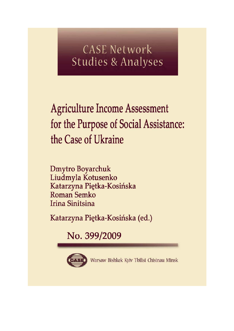# **CASE Network Studies & Analyses**

**Agriculture Income Assessment** for the Purpose of Social Assistance: the Case of Ukraine

**Dmytro Boyarchuk** Liudmyla Kotusenko Katarzyna Piętka-Kosińska Roman Semko **Irina Sinitsina** 

Katarzyna Piętka-Kosińska (ed.)

No. 399/2009



Warsaw Bishkek Kyiv Tbilisi Chisinau Minsk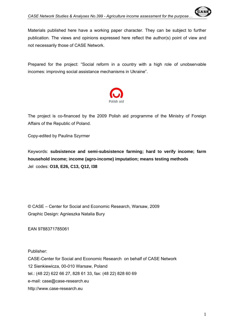Materials published here have a working paper character. They can be subject to further publication. The views and opinions expressed here reflect the author(s) point of view and not necessarily those of CASE Network.

Prepared for the project: "Social reform in a country with a high role of unobservable incomes: improving social assistance mechanisms in Ukraine".



The project is co-financed by the 2009 Polish aid programme of the Ministry of Foreign Affairs of the Republic of Poland.

Copy-edited by Paulina Szyrmer

Keywords: **subsistence and semi-subsistence farming; hard to verify income; farm household income; income (agro-income) imputation; means testing methods** Jel codes: **O18, E26, C13, Q12, I38** 

© CASE – Center for Social and Economic Research, Warsaw, 2009 Graphic Design: Agnieszka Natalia Bury

EAN 9788371785061

Publisher:

CASE-Center for Social and Economic Research on behalf of CASE Network 12 Sienkiewicza, 00-010 Warsaw, Poland tel.: (48 22) 622 66 27, 828 61 33, fax: (48 22) 828 60 69 e-mail: case@case-research.eu http://www.case-research.eu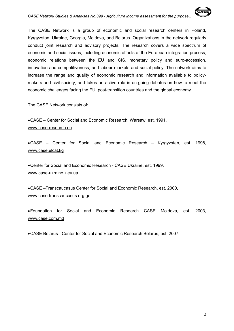The CASE Network is a group of economic and social research centers in Poland, Kyrgyzstan, Ukraine, Georgia, Moldova, and Belarus. Organizations in the network regularly conduct joint research and advisory projects. The research covers a wide spectrum of economic and social issues, including economic effects of the European integration process, economic relations between the EU and CIS, monetary policy and euro-accession, innovation and competitiveness, and labour markets and social policy. The network aims to increase the range and quality of economic research and information available to policymakers and civil society, and takes an active role in on-going debates on how to meet the economic challenges facing the EU, post-transition countries and the global economy.

The CASE Network consists of:

• CASE – Center for Social and Economic Research, Warsaw, est. 1991, www.case-research.eu

• CASE – Center for Social and Economic Research – Kyrgyzstan, est. 1998, www.case.elcat.kg

• Center for Social and Economic Research - CASE Ukraine, est. 1999, www.case-ukraine.kiev.ua

• CASE –Transcaucasus Center for Social and Economic Research, est. 2000, www.case-transcaucasus.org.ge

• Foundation for Social and Economic Research CASE Moldova, est. 2003, www.case.com.md

• CASE Belarus - Center for Social and Economic Research Belarus, est. 2007.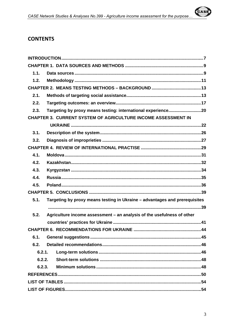

# **CONTENTS**

| 1.1.                                                                               |  |
|------------------------------------------------------------------------------------|--|
| 1.2.                                                                               |  |
|                                                                                    |  |
| 2.1.                                                                               |  |
| 2.2.                                                                               |  |
| Targeting by proxy means testing: international experience20<br>2.3.               |  |
| CHAPTER 3. CURRENT SYSTEM OF AGRICULTURE INCOME ASSESSMENT IN                      |  |
|                                                                                    |  |
| 3.1.                                                                               |  |
| 3.2.                                                                               |  |
|                                                                                    |  |
| 4.1.                                                                               |  |
| 4.2.                                                                               |  |
| 4.3.                                                                               |  |
| 4.4.                                                                               |  |
| 4.5.                                                                               |  |
|                                                                                    |  |
| 5.1.<br>Targeting by proxy means testing in Ukraine - advantages and prerequisites |  |
|                                                                                    |  |
| Agriculture income assessment - an analysis of the usefulness of other<br>5.2.     |  |
|                                                                                    |  |
|                                                                                    |  |
| 6.1.                                                                               |  |
| 6.2.                                                                               |  |
| 6.2.1.                                                                             |  |
| 6.2.2.                                                                             |  |
| 6.2.3.                                                                             |  |
|                                                                                    |  |
|                                                                                    |  |
|                                                                                    |  |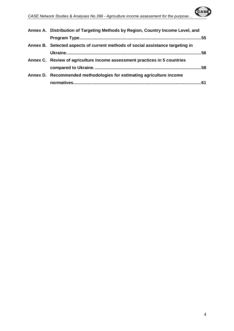| Annex A. Distribution of Targeting Methods by Region, Country Income Level, and |  |
|---------------------------------------------------------------------------------|--|
|                                                                                 |  |
| Annex B. Selected aspects of current methods of social assistance targeting in  |  |
|                                                                                 |  |
| Annex C. Review of agriculture income assessment practices in 5 countries       |  |
|                                                                                 |  |
| Annex D. Recommended methodologies for estimating agriculture income            |  |
|                                                                                 |  |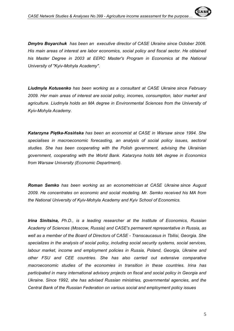*Dmytro Boyarchuk has been an executive director of CASE Ukraine since October 2006. His main areas of interest are labor economics, social policy and fiscal sector. He obtained*  his Master Degree in 2003 at EERC Master's Program in Economics at the National *University of "Kyiv-Mohyla Academy".*

*Liudmyla Kotusenko has been working as a consultant at CASE Ukraine since February 2009. Her main areas of interest are social policy, incomes, consumption, labor market and agriculture. Liudmyla holds an MA degree in Environmental Sciences from the University of Kyiv-Mohyla Academy.* 

*Katarzyna Piętka-Kosińska has been an economist at CASE in Warsaw since 1994. She specialises in macroeconomic forecasting, an analysis of social policy issues, sectoral studies. She has been cooperating with the Polish government, advising the Ukrainian government, cooperating with the World Bank. Katarzyna holds MA degree in Economics from Warsaw University (Economic Department).* 

*Roman Semko has been working as an econometrician at CASE Ukraine since August 2009. He concentrates on economic and social modeling. Mr. Semko received his MA from the National University of Kyiv-Mohyla Academy and Kyiv School of Economics.* 

*Irina Sinitsina, Ph.D., is a leading researcher at the Institute of Economics, Russian Academy of Sciences (Moscow, Russia) and CASE's permanent representative in Russia, as well as a member of the Board of Directors of CASE - Transcaucasus in Tbilisi, Georgia. She specializes in the analysis of social policy, including social security systems, social services, labour market, income and employment policies in Russia, Poland, Georgia, Ukraine and other FSU and CEE countries. She has also carried out extensive comparative macroeconomic studies of the economies in transition in these countries. Irina has participated in many international advisory projects on fiscal and social policy in Georgia and Ukraine. Since 1992, she has advised Russian ministries, governmental agencies, and the Central Bank of the Russian Federation on various social and employment policy issues*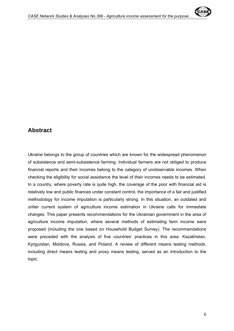

# **Abstract**

Ukraine belongs to the group of countries which are known for the widespread phenomenon of subsistence and semi-subsistence farming. Individual farmers are not obliged to produce financial reports and their incomes belong to the category of unobservable incomes. When checking the eligibility for social assistance the level of their incomes needs to be estimated. In a country, where poverty rate is quite high, the coverage of the poor with financial aid is relatively low and public finances under constant control, the importance of a fair and justified methodology for income imputation is particularly strong. In this situation, an outdated and unfair current system of agriculture income estimation in Ukraine calls for immediate changes. This paper presents recommendations for the Ukrainian government in the area of agriculture income imputation, where several methods of estimating farm income were proposed (including the one based on Household Budget Survey). The recommendations were preceded with the analysis of five countries' practices in this area: Kazakhstan, Kyrgyzstan, Moldova, Russia, and Poland. A review of different means testing methods, including direct means testing and proxy means testing, served as an introduction to the topic.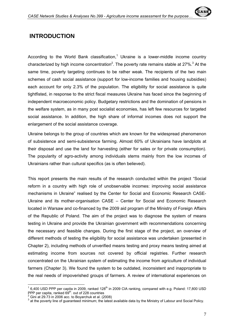

# **INTRODUCTION**

According to the World Bank classification,<sup>1</sup> Ukraine is a lower-middle income country characterized by high income concentration<sup>2</sup>. The poverty rate remains stable at 27%.<sup>3</sup> At the same time, poverty targeting continues to be rather weak. The recipients of the two main schemes of cash social assistance (support for low-income families and housing subsidies) each account for only 2.3% of the population. The eligibility for social assistance is quite tightfisted, in response to the strict fiscal measures Ukraine has faced since the beginning of independent macroeconomic policy. Budgetary restrictions and the domination of pensions in the welfare system, as in many post socialist economies, has left few resources for targeted social assistance. In addition, the high share of informal incomes does not support the enlargement of the social assistance coverage.

Ukraine belongs to the group of countries which are known for the widespread phenomenon of subsistence and semi-subsistence farming. Almost 60% of Ukrainians have landplots at their disposal and use the land for harvesting (either for sales or for private consumption). The popularity of agro-activity among individuals stems mainly from the low incomes of Ukrainians rather than cultural specifics (as is often believed).

This report presents the main results of the research conducted within the project "Social reform in a country with high role of unobservable incomes: improving social assistance mechanisms in Ukraine" realised by the Center for Social and Economic Research CASE-Ukraine and its mother-organisation CASE – Center for Social and Economic Research located in Warsaw and co-financed by the 2009 aid program of the Ministry of Foreign Affairs of the Republic of Poland. The aim of the project was to diagnose the system of means testing in Ukraine and provide the Ukrainian government with recommendations concerning the necessary and feasible changes. During the first stage of the project, an overview of different methods of testing the eligibility for social assistance was undertaken (presented in Chapter 2), including methods of unverified means testing and proxy means testing aimed at estimating income from sources not covered by official registries. Further research concentrated on the Ukrainian system of estimating the income from agriculture of individual farmers (Chapter 3). We found the system to be outdated, inconsistent and inappropriate to the real needs of impoverished groups of farmers. A review of international experiences on

 $\overline{1}$  $1$  6,400 USD PPP per capita in 2009, ranked 128<sup>th</sup> in 2009 CIA ranking, compared with e.g. Poland: 17,800 USD PPP per capita, ranked 69<sup>th</sup>. out of 228 countries

 $\frac{2}{3}$  Gini at 29.73 in 2006 acc. to Boyarchuk et al. (2008)

 $^3$  at the poverty line of guaranteed minimum; the latest available data by the Ministry of Labour and Social Policy.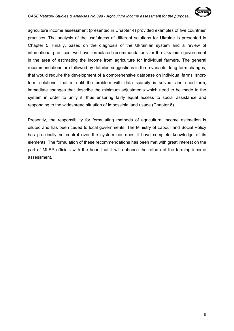agriculture income assessment (presented in Chapter 4) provided examples of five countries' practices. The analysis of the usefulness of different solutions for Ukraine is presented in Chapter 5. Finally, based on the diagnosis of the Ukrainian system and a review of international practices, we have formulated recommendations for the Ukrainian government in the area of estimating the income from agriculture for individual farmers. The general recommendations are followed by detailed suggestions in three variants: long-term changes, that would require the development of a comprehensive database on individual farms, shortterm solutions, that is until the problem with data scarcity is solved, and short-term, immediate changes that describe the minimum adjustments which need to be made to the system in order to unify it, thus ensuring fairly equal access to social assistance and responding to the widespread situation of impossible land usage (Chapter 6).

Presently, the responsibility for formulating methods of agricultural income estimation is diluted and has been ceded to local governments. The Ministry of Labour and Social Policy has practically no control over the system nor does it have complete knowledge of its elements. The formulation of these recommendations has been met with great interest on the part of MLSP officials with the hope that it will enhance the reform of the farming income assessment.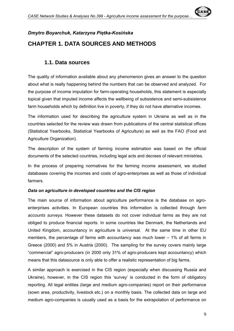

# *Dmytro Boyarchuk, Katarzyna Piętka-Kosińska*  **CHAPTER 1. DATA SOURCES AND METHODS**

# **1.1. Data sources**

The quality of information available about any phenomenon gives an answer to the question about what is really happening behind the numbers that can be observed and analyzed. For the purpose of income imputation for farm-operating households, this statement is especially topical given that imputed income affects the wellbeing of subsistence and semi-subsistence farm households which by definition live in poverty, if they do not have alternative incomes.

The information used for describing the agriculture system in Ukraine as well as in the countries selected for the review was drawn from publications of the central statistical offices (Statistical Yearbooks, Statistical Yearbooks of Agriculture) as well as the FAO (Food and Agriculture Organization).

The description of the system of farming income estimation was based on the official documents of the selected countries, including legal acts and decrees of relevant ministries.

In the process of preparing normatives for the farming income assessment, we studied databases covering the incomes and costs of agro-enterprises as well as those of individual farmers.

### *Data on agriculture in developed countries and the CIS region*

The main source of information about agriculture performance is the database on agroenterprises activities. In European countries this information is collected through *farm accounts surveys.* However these datasets do not cover individual farms as they are not obliged to produce financial reports. In some countries like Denmark, the Netherlands and United Kingdom, accountancy in agriculture is universal. At the same time in other EU members, the percentage of farms with accountancy was much lower – 1% of all farms in Greece (2000) and 5% in Austria (2000). The sampling for the survey covers mainly large "commercial" agro-producers (in 2000 only 31% of agro-producers kept accountancy) which means that this datasource is only able to offer a realistic representation of big farms.

A similar approach is exercised in the CIS region (especially when discussing Russia and Ukraine), however, in the CIS region this 'survey' is conducted in the form of obligatory reporting. All legal entities (large and medium agro-companies) report on their performance (sown area, productivity, livestock etc.) on a monthly basis. The collected data on large and medium agro-companies is usually used as a basis for the extrapolation of performance on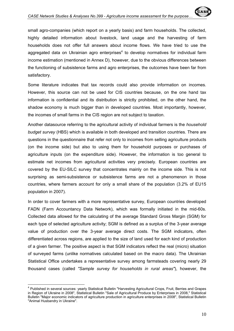satisfactory.

 $\overline{a}$ 

small agro-companies (which report on a yearly basis) and farm households. The collected, highly detailed information about livestock, land usage and the harvesting of farm households does not offer full answers about income flows. We have tried to use the aggregated data on Ukrainian agro enterprises<sup>4</sup> to develop normatives for individual farm income estimation (mentioned in Annex D), however, due to the obvious differences between the functioning of subsistence farms and agro enterprises, the outcomes have been far from

Some literature indicates that tax records could also provide information on incomes. However, this source can not be used for CIS countries because, on the one hand tax information is confidential and its distribution is strictly prohibited, on the other hand, the shadow economy is much bigger than in developed countries. Most importantly, however, the incomes of small farms in the CIS region are not subject to taxation.

Another datasource referring to the agricultural activity of individual farmers is the *household budget survey* (HBS) which is available in both developed and transition countries. There are questions in the questionnaire that refer not only to incomes from selling agriculture products (on the income side) but also to using them for household purposes or purchases of agriculture inputs (on the expenditure side). However, the information is too general to estimate net incomes from agricultural activities very precisely. European countries are covered by the EU-SILC survey that concentrates mainly on the income side. This is not surprising as semi-subsistence or subsistence farms are not a phenomenon in those countries, where farmers account for only a small share of the population (3.2% of EU15 population in 2007).

In order to cover farmers with a more representative survey, European countries developed FADN (Farm Accountancy Data Network), which was formally initiated in the mid-60s. Collected data allowed for the calculating of the average Standard Gross Margin (SGM) for each type of selected agriculture activity; SGM is defined as a surplus of the 3-year average value of production over the 3-year average direct costs. The SGM indicators, often differentiated across regions, are applied to the size of land used for each kind of production of a given farmer. The positive aspect is that SGM indicators reflect the real (micro) situation of surveyed farms (unlike normatives calculated based on the macro data). The Ukrainian Statistical Office undertakes a representative survey among farmsteads covering nearly 29 thousand cases (called *"Sample survey for households in rural areas"*), however, the

<sup>&</sup>lt;sup>4</sup> Published in several sources: yearly Statistical Bulletin "Harvesting Agricultural Crops, Fruit, Berries and Grapes in Region of Ukraine in 2008", Statistical Bulletin "Sale of Agricultural Produce by Enterprises in 2008," Statistical Bulletin "Major economic indicators of agriculture production in agriculture enterprises in 2008", Statistical Bulletin "Animal Husbandry in Ukraine".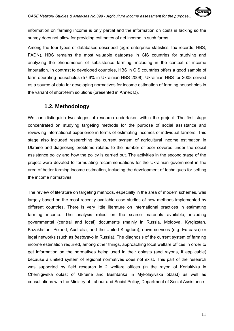information on farming income is only partial and the information on costs is lacking so the survey does not allow for providing estimates of net income in such farms.

Among the four types of databases described (agro-enterprise statistics, tax records, HBS, FADN), HBS remains the most valuable database in CIS countries for studying and analyzing the phenomenon of subsistence farming, including in the context of income imputation. In contrast to developed countries, HBS in CIS countries offers a good sample of farm-operating households (57.6% in Ukrainian HBS 2008). Ukrainian HBS for 2008 served as a source of data for developing normatives for income estimation of farming households in the variant of short-term solutions (presented in Annex D).

# **1.2. Methodology**

We can distinguish two stages of research undertaken within the project. The first stage concentrated on studying targeting methods for the purpose of social assistance and reviewing international experience in terms of estimating incomes of individual farmers. This stage also included researching the current system of agricultural income estimation in Ukraine and diagnosing problems related to the number of poor covered under the social assistance policy and how the policy is carried out. The activities in the second stage of the project were devoted to formulating recommendations for the Ukrainian government in the area of better farming income estimation, including the development of techniques for setting the income normatives.

The review of literature on targeting methods, especially in the area of modern schemes, was largely based on the most recently available case studies of new methods implemented by different countries. There is very little literature on international practices in estimating farming income. The analysis relied on the scarce materials available, including governmental (central and local) documents (mainly in Russia, Moldova, Kyrgizstan, Kazakhstan, Poland, Australia, and the United Kingdom), news services (e.g. Euroasia) or legal networks (such as *bestpravo* in Russia). The diagnosis of the current system of farming income estimation required, among other things, approaching local welfare offices in order to get information on the normatives being used in their oblasts (and rayons, if applicable) because a unified system of regional normatives does not exist. This part of the research was supported by field research in 2 welfare offices (in the rayon of Koriukivka in Chernigivska oblast of Ukraine and Bashtanka in Mykolayivska oblast) as well as consultations with the Ministry of Labour and Social Policy, Department of Social Assistance.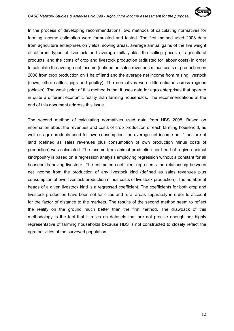In the process of developing recommendations, two methods of calculating normatives for farming income estimation were formulated and tested. The first method used 2008 data from agriculture enterprises on yields, sowing areas, average annual gains of the live weight of different types of livestock and average milk yields, the selling prices of agricultural products, and the costs of crop and livestock production (adjusted for labour costs) in order to calculate the average net income (defined as sales revenues minus costs of production) in 2008 from crop production on 1 ha of land and the average net income from raising livestock (cows, other cattles, pigs and poultry). The normatives were differentiated across regions (oblasts). The weak point of this method is that it uses data for agro enterprises that operate in quite a different economic reality than farming households. The recommendations at the end of this document address this issue.

The second method of calculating normatives used data from HBS 2008. Based on information about the revenues and costs of crop production of each farming household, as well as agro products used for own consumption, the average net income per 1 hectare of land (defined as sales revenues plus consumption of own production minus costs of production) was calculated. The income from animal production per head of a given animal kind/poultry is based on a regression analysis employing regression without a constant for all households having livestock. The estimated coefficient represents the relationship between net income from the production of any livestock kind (defined as sales revenues plus consumption of own livestock production minus costs of livestock production). The number of heads of a given livestock kind is a regressed coefficient. The coefficients for both crop and livestock production have been set for cities and rural areas separately in order to account for the factor of distance to the markets. The results of the second method seem to reflect the reality on the ground much better than the first method. The drawback of this methodology is the fact that it relies on datasets that are not precise enough nor highly representative of farming households because HBS is not constructed to closely reflect the agro activities of the surveyed population.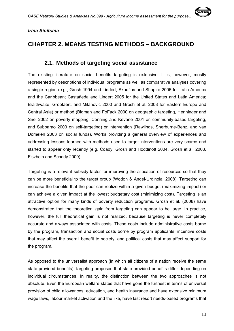#### *Irina Sinitsina*

# **CHAPTER 2. MEANS TESTING METHODS – BACKGROUND**

### **2.1. Methods of targeting social assistance**

The existing literature on social benefits targeting is extensive. It is, however, mostly represented by descriptions of individual programs as well as comparative analyses covering a single region (e.g., Grosh 1994 and Lindert, Skoufias and Shapiro 2006 for Latin America and the Caribbean; Castañeda and Lindert 2005 for the United States and Latin America; Braithwaite, Grootaert, and Milanovic 2000 and Grosh et al. 2008 for Eastern Europe and Central Asia) or method (Bigman and FoFack 2000 on geographic targeting, Henninger and Snel 2002 on poverty mapping, Conning and Kevane 2001 on community-based targeting, and Subbarao 2003 on self-targeting) or intervention (Rawlings, Sherburne-Benz, and van Domelen 2003 on social funds). Works providing a general overview of experiences and addressing lessons learned with methods used to target interventions are very scarce and started to appear only recently (e.g. Coady, Grosh and Hoddinott 2004, Grosh et al. 2008, Fiszbein and Schady 2009).

Targeting is a relevant subsidy factor for improving the allocation of resources so that they can be more beneficial to the target group (Wodon & Angel-Urdinola, 2008). Targeting can increase the benefits that the poor can realize within a given budget (maximizing impact) or can achieve a given impact at the lowest budgetary cost (minimizing cost). Targeting is an attractive option for many kinds of poverty reduction programs. Grosh et al. (2008) have demonstrated that the theoretical gain from targeting can appear to be large. In practice, however, the full theoretical gain is not realized, because targeting is never completely accurate and always associated with costs. These costs include administrative costs borne by the program, transaction and social costs borne by program applicants, incentive costs that may affect the overall benefit to society, and political costs that may affect support for the program.

As opposed to the universalist approach (in which all citizens of a nation receive the same state-provided benefits), targeting proposes that state-provided benefits differ depending on individual circumstances. In reality, the distinction between the two approaches is not absolute. Even the European welfare states that have gone the furthest in terms of universal provision of child allowances, education, and health insurance and have extensive minimum wage laws, labour market activation and the like, have last resort needs-based programs that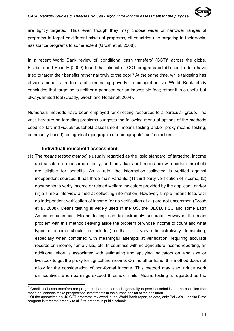are tightly targeted. Thus even though they may choose wider or narrower ranges of programs to target or different mixes of programs, all countries use targeting in their social assistance programs to some extent (Grosh et al. 2008).

In a recent World Bank review of 'conditional cash transfers'  $(CCT)^5$  across the globe, Fiszbein and Schady (2009) found that almost all CCT programs established to date have tried to target their benefits rather narrowly to the poor.<sup>6</sup> At the same time, while targeting has obvious benefits in terms of combating poverty, a comprehensive World Bank study concludes that targeting is neither a panacea nor an impossible feat; rather it is a useful but always limited tool (Coady, Grosh and Hoddinott 2004).

Numerous methods have been employed for directing resources to a particular group. The vast literature on targeting problems suggests the following menu of options of the methods used so far: individual/household assessment (means-testing and/or proxy-means testing, community-based); categorical (geographic or demographic); self-selection.

#### − **Individual/household assessment**:

(1) The *means testing method* is usually regarded as the 'gold standard' of targeting. Income and assets are measured directly, and individuals or families below a certain threshold are eligible for benefits. As a rule, the information collected is verified against independent sources. It has three main variants: (1) third-party verification of income, (2) documents to verify income or related welfare indicators provided by the applicant, and/or (3) a simple interview aimed at collecting information. However, simple means tests with no independent verification of income (or no verification at all) are not uncommon (Grosh et al. 2008). Means testing is widely used in the US, the OECD, FSU and some Latin American countries. Means testing can be extremely accurate. However, the main problem with this method (leaving aside the problem of whose income to count and what types of income should be included) is that it is very administratively demanding, especially when combined with meaningful attempts at verification, requiring accurate records on income, home visits, etc. In countries with no agriculture income reporting, an additional effort is associated with estimating and applying indicators on land size or livestock to get the proxy for agriculture income. On the other hand, this method does not allow for the consideration of non-formal income. This method may also induce work disincentives when earnings exceed threshold limits. Means testing is regarded as the

 $\overline{a}$ <sup>5</sup> Conditional cash transfers are programs that transfer cash, generally to poor households, on the condition that those households make prespecified investments in the human capital of their children. 6

according the approximately 40 CCT programs reviewed in the World Bank report, to date, only Bolivia's Juancito Pinto program is targeted broadly to all first-graders in public schools.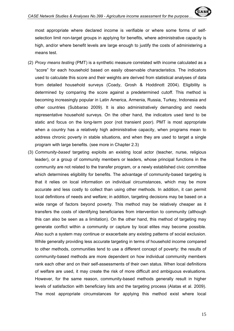most appropriate where declared income is verifiable or where some forms of selfselection limit non-target groups in applying for benefits, where administrative capacity is high, and/or where benefit levels are large enough to justify the costs of administering a means test.

- (2) *Proxy means testing* (PMT) is a synthetic measure correlated with income calculated as a "score" for each household based on easily observable characteristics. The indicators used to calculate this score and their weights are derived from statistical analyses of data from detailed household surveys (Coady, Grosh & Hoddinott 2004). Eligibility is determined by comparing the score against a predetermined cutoff. This method is becoming increasingly popular in Latin America, Armenia, Russia, Turkey, Indonesia and other countries (Subbarao 2009). It is also administratively demanding and needs representative household surveys. On the other hand, the indicators used tend to be static and focus on the long-term poor (not transient poor). PMT is most appropriate when a country has a relatively high administrative capacity, when programs mean to address chronic poverty in stable situations, and when they are used to target a single program with large benefits. (see more in Chapter 2.3)
- (3) *Community-based* targeting exploits an existing local actor (teacher, nurse, religious leader), or a group of community members or leaders, whose principal functions in the community are not related to the transfer program, or a newly established civic committee which determines eligibility for benefits. The advantage of community-based targeting is that it relies on local information on individual circumstances, which may be more accurate and less costly to collect than using other methods. In addition, it can permit local definitions of needs and welfare; in addition, targeting decisions may be based on a wide range of factors beyond poverty. This method may be relatively cheaper as it transfers the costs of identifying beneficiaries from intervention to community (although this can also be seen as a limitation). On the other hand, this method of targeting may generate conflict within a community or capture by local elites may become possible. Also such a system may continue or exacerbate any existing patterns of social exclusion. While generally providing less accurate targeting in terms of household income compared to other methods, communities tend to use a different concept of poverty: the results of community-based methods are more dependent on how individual community members rank each other and on their self-assessments of their own status. When local definitions of welfare are used, it may create the risk of more difficult and ambiguous evaluations. However, for the same reason, community-based methods generally result in higher levels of satisfaction with beneficiary lists and the targeting process (Alatas et al. 2009). The most appropriate circumstances for applying this method exist where local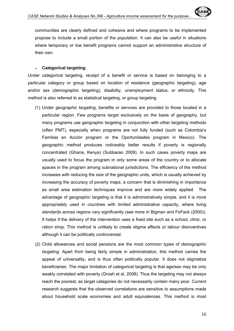communities are clearly defined and cohesive and where programs to be implemented propose to include a small portion of the population. It can also be useful in situations where temporary or low benefit programs cannot support an administrative structure of their own.

#### − **Categorical targeting**:

Under categorical targeting, receipt of a benefit or service is based on belonging to a particular category or group based on location of residence (geographic targeting), age and/or sex (demographic targeting), disability, unemployment status, or ethnicity. This method is also referred to as statistical targeting, or group targeting.

- (1) Under *geographic targeting*, benefits or services are provided to those located in a particular region. Few programs target exclusively on the basis of geography, but many programs use geographic targeting in conjunction with other targeting methods (often PMT), especially when programs are not fully funded (such as Colombia's Familias en Acción program or the Oportunidades program in Mexico). The geographic method produces noticeably better results if poverty is regionally concentrated (Ghana, Kenya) (Subbarao 2009). In such cases poverty maps are usually used to focus the program in only some areas of the country or to allocate spaces in the program among subnational jurisdictions. The efficiency of the method increases with reducing the size of the geographic units, which is usually achieved by increasing the accuracy of poverty maps, a concern that is diminishing in importance as small area estimation techniques improve and are more widely applied. The advantage of geographic targeting is that it is administratively simple, and it is more appropriately used in countries with limited administrative capacity, where living standards across regions vary significantly (see more in Bigman and FoFack (2000)). It helps if the delivery of the intervention uses a fixed site such as a school, clinic, or ration shop. This method is unlikely to create stigma effects or labour disincentives although it can be politically controversial.
- (2) Child allowances and social pensions are the most common types of *demographic targeting.* Apart from being fairly simple in administration, this method carries the appeal of universality, and is thus often politically popular. It does not stigmatize beneficiaries. The major limitation of categorical targeting is that age/sex may be only weakly correlated with poverty (Grosh et al. 2008). Thus the targeting may not always reach the poorest, as target categories do not necessarily contain many poor. Current research suggests that the observed correlations are sensitive to assumptions made about household scale economies and adult equivalences. This method is most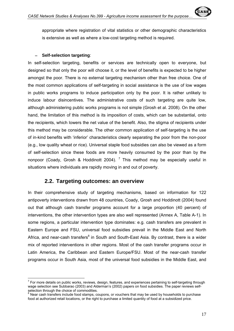appropriate where registration of vital statistics or other demographic characteristics is extensive as well as where a low-cost targeting method is required.

#### − **Self-selection targeting**:

In self-selection targeting, benefits or services are technically open to everyone, but designed so that only the poor will choose it, or the level of benefits is expected to be higher amongst the poor. There is no external targeting mechanism other than free choice. One of the most common applications of self-targeting in social assistance is the use of low wages in public works programs to induce participation only by the poor. It is rather unlikely to induce labour disincentives. The administrative costs of such targeting are quite low, although administering public works programs is not simple (Grosh et al. 2008). On the other hand, the limitation of this method is its imposition of costs, which can be substantial, onto the recipients, which lowers the net value of the benefit. Also, the stigma of recipients under this method may be considerable. The other common application of self-targeting is the use of in-kind benefits with 'inferior' characteristics clearly separating the poor from the non-poor (e.g., low quality wheat or rice). Universal staple food subsidies can also be viewed as a form of self-selection since these foods are more heavily consumed by the poor than by the nonpoor (Coady, Grosh & Hoddinott 2004).  $^7$  This method may be especially useful in situations where individuals are rapidly moving in and out of poverty.

### **2.2. Targeting outcomes: an overview**

In their comprehensive study of targeting mechanisms, based on information for 122 antipoverty interventions drawn from 48 countries, Coady, Grosh and Hoddinott (2004) found out that although cash transfer programs account for a large proportion (40 percent) of interventions, the other intervention types are also well represented (Annex A, Table A-1). In some regions, a particular intervention type dominates: e.g. cash transfers are prevalent in Eastern Europe and FSU, universal food subsidies prevail in the Middle East and North Africa, and near-cash transfers<sup>8</sup> in South and South-East Asia. By contrast, there is a wider mix of reported interventions in other regions. Most of the cash transfer programs occur in Latin America, the Caribbean and Eastern Europe/FSU. Most of the near-cash transfer programs occur in South Asia, most of the universal food subsidies in the Middle East, and

TO TO TO TO TO TO TO TO TO THE TO THE TO SERVIT TO THE TO THE TO THE TO THE TO THE TO THE TO THE TO THE TO TH<br>To the targeting through To To The Hangesting through To The To The To The To The Walles of the To The To The wage selection see Subbarao (2003) and Alderman's (2002) papers on food subsidies. The paper reviews selfselection through the choice of commodities.

 $8$  Near cash transfers include food stamps, coupons, or vouchers that may be used by households to purchase food at authorized retail locations, or the right to purchase a limited quantity of food at a subsidized price.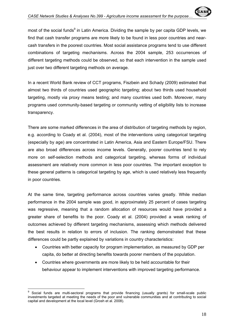most of the social funds<sup>9</sup> in Latin America. Dividing the sample by per capita GDP levels, we find that cash transfer programs are more likely to be found in less poor countries and nearcash transfers in the poorest countries. Most social assistance programs tend to use different combinations of targeting mechanisms. Across the 2004 sample, 253 occurrences of different targeting methods could be observed, so that each intervention in the sample used just over two different targeting methods on average.

In a recent World Bank review of CCT programs, Fiszbein and Schady (2009) estimated that almost two thirds of countries used geographic targeting; about two thirds used household targeting, mostly via proxy means testing; and many countries used both. Moreover, many programs used community-based targeting or community vetting of eligibility lists to increase transparency.

There are some marked differences in the area of distribution of targeting methods by region, e.g. according to Coady et al. (2004), most of the interventions using categorical targeting (especially by age) are concentrated in Latin America, Asia and Eastern Europe/FSU. There are also broad differences across income levels. Generally, poorer countries tend to rely more on self-selection methods and categorical targeting, whereas forms of individual assessment are relatively more common in less poor countries. The important exception to these general patterns is categorical targeting by age, which is used relatively less frequently in poor countries.

At the same time, targeting performance across countries varies greatly. While median performance in the 2004 sample was good, in approximately 25 percent of cases targeting was regressive, meaning that a random allocation of resources would have provided a greater share of benefits to the poor. Coady et al. (2004) provided a weak ranking of outcomes achieved by different targeting mechanisms, assessing which methods delivered the best results in relation to errors of inclusion. The ranking demonstrated that these differences could be partly explained by variations in country characteristics:

- Countries with better capacity for program implementation, as measured by GDP per capita, do better at directing benefits towards poorer members of the population.
- Countries where governments are more likely to be held accountable for their behaviour appear to implement interventions with improved targeting performance.

 $\overline{a}$ 

<sup>&</sup>lt;sup>9</sup> Social funds are multi-sectoral programs that provide financing (usually grants) for small-scale public investments targeted at meeting the needs of the poor and vulnerable communities and at contributing to social capital and development at the local level (Grosh et al. 2008).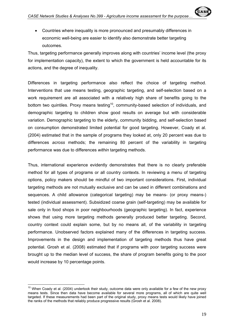• Countries where inequality is more pronounced and presumably differences in economic well-being are easier to identify also demonstrate better targeting outcomes.

Thus, targeting performance generally improves along with countries' income level (the proxy for implementation capacity), the extent to which the government is held accountable for its actions, and the degree of inequality.

Differences in targeting performance also reflect the choice of targeting method. Interventions that use means testing, geographic targeting, and self-selection based on a work requirement are all associated with a relatively high share of benefits going to the bottom two quintiles. Proxy means testing<sup>10</sup>, community-based selection of individuals, and demographic targeting to children show good results on average but with considerable variation. Demographic targeting to the elderly, community bidding, and self-selection based on consumption demonstrated limited potential for good targeting. However, Coady et al. (2004) estimated that in the sample of programs they looked at, only 20 percent was due to differences *across* methods; the remaining 80 percent of the variability in targeting performance was due to differences *within* targeting methods.

Thus, international experience evidently demonstrates that there is no clearly preferable method for all types of programs or all country contexts. In reviewing a menu of targeting options, policy makers should be mindful of two important considerations. First, individual targeting methods are not mutually exclusive and can be used in different combinations and sequences. A child allowance (categorical targeting) may be means- (or proxy means-) tested (individual assessment). Subsidized coarse grain (self-targeting) may be available for sale only in food shops in poor neighbourhoods (geographic targeting). In fact, experience shows that using more targeting methods generally produced better targeting. Second, country context could explain some, but by no means all, of the variability in targeting performance. Unobserved factors explained many of the differences in targeting success. Improvements in the design and implementation of targeting methods thus have great potential. Grosh et al. (2008) estimated that if programs with poor targeting success were brought up to the median level of success, the share of program benefits going to the poor would increase by 10 percentage points.

 $\overline{1}$ 

 $10$  When Coady et al. (2004) undertook their study, outcome data were only available for a few of the new proxy means tests. Since then data have become available for several more programs, all of which are quite well targeted. If these measurements had been part of the original study, proxy means tests would likely have joined the ranks of the methods that reliably produce progressive results (Grosh et al. 2008).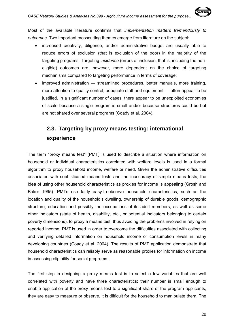Most of the available literature confirms that *implementation matters tremendously to outcomes.* Two important crosscutting themes emerge from literature on the subject:

- increased creativity, diligence, and/or administrative budget are usually able to reduce errors of exclusion (that is exclusion of the poor) in the majority of the targeting programs. Targeting *incidence* (errors of inclusion, that is, including the noneligible) outcomes are, however, more dependent on the choice of targeting mechanisms compared to targeting performance in terms of coverage;
- improved administration streamlined procedures, better manuals, more training, more attention to quality control, adequate staff and equipment — often appear to be justified. In a significant number of cases, there appear to be unexploited economies of scale because a single program is small and/or because structures could be but are not shared over several programs (Coady et al. 2004).

# **2.3. Targeting by proxy means testing: international experience**

The term "proxy means test" (PMT) is used to describe a situation where information on household or individual characteristics correlated with welfare levels is used in a formal algorithm to proxy household income, welfare or need. Given the administrative difficulties associated with sophisticated means tests and the inaccuracy of simple means tests, the idea of using other household characteristics as proxies for income is appealing (Grosh and Baker 1995). PMTs use fairly easy-to-observe household characteristics, such as the location and quality of the household's dwelling, ownership of durable goods, demographic structure, education and possibly the occupations of its adult members, as well as some other indicators (state of health, disability, etc., or potential indicators belonging to certain poverty dimensions), to proxy a means test, thus avoiding the problems involved in relying on reported income. PMT is used in order to overcome the difficulties associated with collecting and verifying detailed information on household income or consumption levels in many developing countries (Coady et al. 2004). The results of PMT application demonstrate that household characteristics can reliably serve as reasonable proxies for information on income in assessing eligibility for social programs.

The first step in designing a proxy means test is to select a few variables that are well correlated with poverty and have three characteristics: their number is small enough to enable application of the proxy means test to a significant share of the program applicants, they are easy to measure or observe, it is difficult for the household to manipulate them. The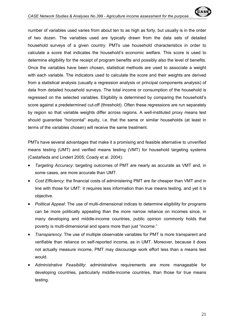number of variables used varies from about ten to as high as forty, but usually is in the order of two dozen. The variables used are typically drawn from the data sets of detailed household surveys of a given country. PMTs use household characteristics in order to calculate a score that indicates the household's economic welfare. This score is used to determine eligibility for the receipt of program benefits and possibly also the level of benefits. Once the variables have been chosen, statistical methods are used to associate a weight with each variable. The indicators used to calculate the score and their weights are derived from a statistical analysis (usually a regression analysis or principal components analysis) of data from detailed household surveys. The total income or consumption of the household is regressed on the selected variables. Eligibility is determined by comparing the household's score against a predetermined cut-off (threshold). Often these regressions are run separately by region so that variable weights differ across regions. A well-instituted proxy means test should guarantee "horizontal" equity, i.e. that the same or similar households (at least in terms of the variables chosen) will receive the same treatment.

PMTs have several advantages that make it a promising and feasible alternative to unverified means testing (UMT) and verified means testing (VMT) for household targeting systems (Castañeda and Lindert 2005; Coady et al. 2004):

- *Targeting Accuracy*: targeting outcomes of PMT are nearly as accurate as VMT and, in some cases, are more accurate than UMT.
- *Cost Efficiency*: the financial costs of administering PMT are *far* cheaper than VMT and in line with those for UMT: it requires less information than true means testing, and yet it is objective.
- *Political Appeal*: The use of multi-dimensional indices to determine eligibility for programs can be more politically appealing than the more narrow reliance on incomes since, in many developing and middle-income countries, public opinion commonly holds that poverty is multi-dimensional and spans more than just "income."
- *Transparency*: The use of multiple observable variables for PMT is more transparent and verifiable than reliance on self-reported income, as in UMT. Moreover, because it does not actually measure income, PMT may discourage work effort less than a means test would.
- *Administrative Feasibility*: administrative requirements are more manageable for developing countries, particularly middle-income countries, than those for true means testing.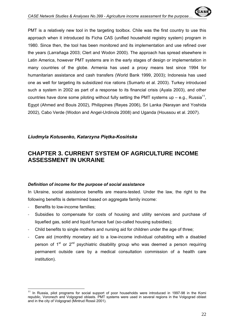PMT is a relatively new tool in the targeting toolbox. Chile was the first country to use this approach when it introduced its Ficha CAS (unified household registry system) program in 1980. Since then, the tool has been monitored and its implementation and use refined over the years (Larrañaga 2003; Clert and Wodon 2000). The approach has spread elsewhere in Latin America, however PMT systems are in the early stages of design or implementation in many countries of the globe. Armenia has used a proxy means test since 1994 for humanitarian assistance and cash transfers (World Bank 1999, 2003); Indonesia has used one as well for targeting its subsidized rice rations (Sumarto et al. 2003). Turkey introduced such a system in 2002 as part of a response to its financial crisis (Ayala 2003), and other countries have done some piloting without fully setting the PMT systems up – e.g., Russia<sup>11</sup>, Egypt (Ahmed and Bouis 2002), Philippines (Reyes 2006), Sri Lanka (Narayan and Yoshida 2002), Cabo Verde (Wodon and Angel-Urdinola 2008) and Uganda (Houssou et al. 2007).

#### *Liudmyla Kotusenko, Katarzyna Piętka-Kosińska*

# **CHAPTER 3. CURRENT SYSTEM OF AGRICULTURE INCOME ASSESSMENT IN UKRAINE**

#### *Definition of income for the purpose of social assistance*

In Ukraine, social assistance benefits are means-tested. Under the law, the right to the following benefits is determined based on aggregate family income:

- Benefits to low-income families;
- ‐ Subsidies to compensate for costs of housing and utility services and purchase of liquefied gas, solid and liquid furnace fuel (so-called housing subsidies);
- ‐ Child benefits to single mothers and nursing aid for children under the age of three;
- ‐ Care aid (monthly monetary aid to a low-income individual cohabiting with a disabled person of  $1<sup>st</sup>$  or  $2<sup>nd</sup>$  psychiatric disability group who was deemed a person requiring permanent outside care by a medical consultation commission of a health care institution).

 $\overline{a}$ <sup>11</sup> In Russia, pilot programs for social support of poor households were introduced in 1997-98 in the Komi republic, Voronezh and Volgograd oblasts. PMT systems were used in several regions in the Volgograd oblast and in the city of Volgograd (Mintrud Rossii 2001).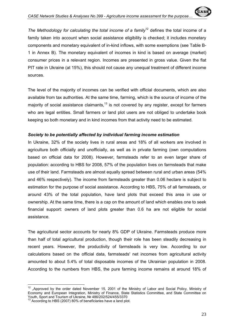*The Methodology for calculating the total income of a family*<sup>12</sup> defines the total income of a family taken into account when social assistance eligibility is checked; it includes monetary components and monetary equivalent of in-kind inflows, with some exemptions (see Table B-1 in Annex B). The monetary equivalent of incomes in kind is based on average (market) consumer prices in a relevant region. Incomes are presented in gross value. Given the flat PIT rate in Ukraine (at 15%), this should not cause any unequal treatment of different income sources.

The level of the majority of incomes can be verified with official documents, which are also available from tax authorities. At the same time, farming, which is the source of income of the majority of social assistance claimants.<sup>13</sup> is not covered by any register, except for farmers who are legal entities. Small farmers or land plot users are not obliged to undertake book keeping so both monetary and in kind incomes from that activity need to be estimated.

#### *Society to be potentially affected by individual farming income estimation*

In Ukraine, 32% of the society lives in rural areas and 18% of all workers are involved in agriculture both officially and unofficially, as well as in private farming (own computations based on official data for 2008). However, farmsteads refer to an even larger share of population: according to HBS for 2008, 57% of the population lives on farmsteads that make use of their land. Farmsteads are almost equally spread between rural and urban areas (54% and 46% respectively). The income from farmsteads greater than 0.06 hectare is subject to estimation for the purpose of social assistance. According to HBS, 75% of all farmsteads, or around 43% of the total population, have land plots that exceed this area in use or ownership. At the same time, there is a cap on the amount of land which enables one to seek financial support: owners of land plots greater than 0.6 ha are not eligible for social assistance.

The agricultural sector accounts for nearly 8% GDP of Ukraine. Farmsteads produce more than half of total agricultural production, though their role has been steadily decreasing in recent years. However, the productivity of farmsteads is very low. According to our calculations based on the official data, farmsteads' net incomes from agricultural activity amounted to about 5.4% of total disposable incomes of the Ukrainian population in 2008. According to the numbers from HBS, the pure farming income remains at around 18% of

 $\overline{1}$ "Approved by the order dated November 15, 2001 of the Ministry of Labor and Social Policy, Ministry of Economy and European Integration, Ministry of Finance, State Statistics Committee, and State Committee on Youth, Sport and Tourism of Ukraine, Nº 486/202/524/455/3370

<sup>13</sup> According to HBS (2007) 80% of beneficiaries have a land plot.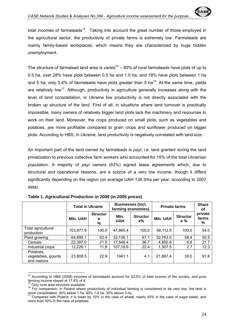total incomes of farmsteads<sup>14</sup>. Taking into account the great number of those employed in the agricultural sector, the productivity of private farms is extremely low. Farmsteads are mainly family-based workplaces, which means they are characterized by huge hidden unemployment.

The structure of farmstead land area is varied<sup>15</sup> – 50% of rural farmsteads have plots of up to 0.5 ha, over 28% have plots between 0.5 ha and 1.0 ha, and 18% have plots between 1 ha and 5 ha; only 3.4% of farmsteads have plots greater than 5 ha<sup>16</sup>. At the same time, yields are relatively low<sup>17</sup>. Although, productivity in agriculture generally increases along with the level of land consolidation, in Ukraine low productivity is not directly associated with the broken up structure of the land. First of all, in situations where land turnover is practically impossible, many owners of relatively bigger land plots lack the machinery and resources to work on their land. Moreover, the crops produced on small plots, such as vegetables and potatoes, are more profitable compared to grain crops and sunflower produced on bigger plots. According to HBS, in Ukraine, land productivity is negatively correlated with land size.

An important part of the land owned by farmsteads is *payi,* i.e. land granted during the land privatization to previous collective farm workers who accounted for 15% of the total Ukrainian population. A majority of *payi* owners (63%) signed lease agreements which, due to structural and operational reasons, are a source of a very low income, though it differs significantly depending on the region (on average UAH 139.3/ha per year, according to 2007 data).

|                                               | <b>Total in Ukraine</b> |                           | farming economies) | <b>Businesses (incl.</b> | <b>Private farms</b> | <b>Share</b><br>οf     |                       |
|-----------------------------------------------|-------------------------|---------------------------|--------------------|--------------------------|----------------------|------------------------|-----------------------|
|                                               | <b>MIn. UAH</b>         | <b>Structur</b><br>е<br>% | Mln.<br><b>UAH</b> | <b>Structur</b><br>$e\%$ | <b>MIn. UAH</b>      | <b>Structur</b><br>e % | private<br>farms<br>% |
| Total agricultural<br>production              | 103,977.9               | 100.0                     | 47,865.4           | 100.0                    | 56,112.5             | 100.0                  | 54.0                  |
| Plant growing                                 | 64,899.1                | 62.4                      | 32,136.1           | 67.1                     | 32,763.0             | 58.4                   | 50.5                  |
| Cereals                                       | 22,397.0                | 21.5                      | 17,546.4           | 36.7                     | 4,850.6              | 8.6                    | 21.7                  |
| Industrial crops                              | 12,226.1                | 11,8                      | 107,18.6           | 22.4                     | 1,507.5              | 2.7                    | 12.3                  |
| Potatoes,<br>vegetables, gourds<br>and melons | 23,808.5                | 22.9                      | 1941.1             | 4.1                      | 21,867.4             | 39.0                   | 91.8                  |

| Table 1. Agricultural Production in 2008 (in 2005 prices) |  |  |  |  |
|-----------------------------------------------------------|--|--|--|--|
|                                                           |  |  |  |  |

 $\overline{a}$ <sup>14</sup> According to HBS (2008) incomes of farmsteads account for 52.5% of total income of the society, and pure farming income stayed at 17.8% of it.

<sup>&</sup>lt;sup>15</sup> Only rural area structure available.<br><sup>16</sup> For comparison, in Poland where productivity of individual farming is considered to be very low, the land is more consolidated: 30% below 1 ha, 40% 1-5 ha, 30% above 5 ha.

<sup>17</sup> Compared with Poland, it is lower by 10% in the case of wheat, nearly 40% in the case of sugar beets, and more than 30% in the case of potatoes.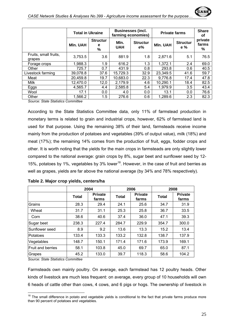

|                                 | <b>Total in Ukraine</b> |                           | <b>Businesses (incl.</b><br>farming economies) |                          | <b>Private farms</b> | <b>Share</b><br>οf     |                       |
|---------------------------------|-------------------------|---------------------------|------------------------------------------------|--------------------------|----------------------|------------------------|-----------------------|
|                                 | <b>MIn. UAH</b>         | <b>Structur</b><br>е<br>% | Mln.<br><b>UAH</b>                             | <b>Structur</b><br>$e\%$ | <b>MIn. UAH</b>      | <b>Structur</b><br>e % | private<br>farms<br>% |
| Fruits, small fruits,<br>grapes | 3,753.5                 | 3.6                       | 881.9                                          | 1.8                      | 2,871.6              | 5.1                    | 76.5                  |
| Forage crops                    | 1,988.3                 | 1.9                       | 616.2                                          | 1.3                      | 1,372.1              | 2.4                    | 69.0                  |
| Other                           | 725.7                   | 0.7                       | 431.9                                          | 0.8                      | 293.8                | 0.6                    | 40.5                  |
| Livestock farming               | 39,078.8                | 37.6                      | 15,729.3                                       | 32.9                     | 23,349.5             | 41.6                   | 59.7                  |
| Meat                            | 20,459.8                | 19.7                      | 10,683.0                                       | 22.3                     | 9,776.8              | 17.4                   | 47.8                  |
| Milk                            | 12,470.0                | 12,0                      | 2,179.9                                        | 4.6                      | 10,290.1             | 18.4                   | 82.5                  |
| Eggs                            | 4,565.7                 | 4.4                       | 2,585.8                                        | 5.4                      | 1,979.9              | 3.5                    | 43.4                  |
| Wool                            | 17.1                    | 0.0                       | 4.0                                            | 0.0                      | 13.1                 | 0.0                    | 76.6                  |
| Other<br>_.                     | 1,566.2                 | 1.5                       | 276.6                                          | 0.6                      | 1,289.6              | 2.3                    | 82.3                  |

*Source: State Statistics Committee* 

According to the State Statistics Committee data, only 11% of farmstead production in monetary terms is related to grain and industrial crops, however, 62% of farmstead land is used for that purpose. Using the remaining 38% of their land, farmsteads receive income mainly from the production of potatoes and vegetables (39% of output value), milk (18%) and meat (17%); the remaining 14% comes from the production of fruit, eggs, fodder crops and other. It is worth noting that the yields for the main crops in farmsteads are only slightly lower compared to the national average: grain crops by 8%, sugar beet and sunflower seed by 12- 15%, potatoes by 1%, vegetables by 3% lower<sup>18</sup>. However, in the case of fruit and berries as well as grapes, yields are far above the national average (by 34% and 78% respectively).

|                          |              | 2004                    |              | 2006                    | 2008         |                         |  |
|--------------------------|--------------|-------------------------|--------------|-------------------------|--------------|-------------------------|--|
|                          | <b>Total</b> | <b>Private</b><br>farms | <b>Total</b> | <b>Private</b><br>farms | <b>Total</b> | <b>Private</b><br>farms |  |
| Grains                   | 28.3         | 29.4                    | 24.1         | 25.6                    | 34.7         | 31.9                    |  |
| Wheat                    | 31.7         | 31.1                    | 25.3         | 25.8                    | 36.7         | 33.5                    |  |
| Corn                     | 38.6         | 40.6                    | 37.4         | 36.0                    | 47.1         | 39.3                    |  |
| Sugar beet               | 238.3        | 227.4                   | 284.7        | 229.9                   | 354.7        | 300.0                   |  |
| Sunflower seed           | 8.9          | 9.2                     | 13.6         | 13.3                    | 15.2         | 13.4                    |  |
| Potatoes                 | 133.4        | 133.3                   | 133.2        | 132.8                   | 138.7        | 137.9                   |  |
| Vegetables               | 148.7        | 150.1                   | 171.4        | 171.6                   | 173.9        | 169.1                   |  |
| <b>Fruit and berries</b> | 58.1         | 103.8                   | 45.0         | 69.7                    | 65.0         | 87.1                    |  |
| Grapes                   | 45.2         | 133.0                   | 39.7         | 118.3                   | 58.6         | 104.2                   |  |

|  |  |  | Table 2. Major crop yields, centers/ha |
|--|--|--|----------------------------------------|
|--|--|--|----------------------------------------|

*Source: State Statistics Committee* 

 $\overline{a}$ 

Farmsteads own mainly poultry. On average, each farmstead has 12 poultry heads. Other kinds of livestock are much less frequent: on average, every group of 10 households will own 6 heads of cattle other than cows, 4 cows, and 6 pigs or hogs. The ownership of livestock in

 $18$  The small difference in potato and vegetable yields is conditional to the fact that private farms produce more than 90 percent of potatoes and vegetables.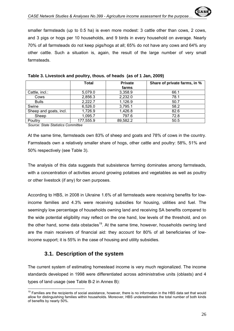smaller farmsteads (up to 0.5 ha) is even more modest: 3 cattle other than cows, 2 cows, and 3 pigs or hogs per 10 households, and 9 birds in every household on average. Nearly 70% of all farmsteads do not keep pigs/hogs at all; 65% do not have any cows and 64% any other cattle. Such a situation is, again, the result of the large number of very small farmsteads.

|                        | <b>Total</b> | <b>Private</b> | Share of private farms, in % |  |  |  |  |
|------------------------|--------------|----------------|------------------------------|--|--|--|--|
|                        |              | farms          |                              |  |  |  |  |
| Cattle, incl.:         | 5,079.0      | 3,358.9        | 66.1                         |  |  |  |  |
| Cows                   | 2,856.3      | 2,232.0        | 78.1                         |  |  |  |  |
| <b>Bulls</b>           | 2,222.7      | 1,126.9        | 50.7                         |  |  |  |  |
| Swine                  | 6,526.0      | 3,795.1        | 58.2                         |  |  |  |  |
| Sheep and goats, incl. | 1,726.9      | 1,426.8        | 82.6                         |  |  |  |  |
| Sheep                  | 1,095.7      | 797.6          | 72.8                         |  |  |  |  |
| Poultry                | 177,555.9    | 89,582.2       | 50.5                         |  |  |  |  |
|                        |              |                |                              |  |  |  |  |

| Table 3. Livestock and poultry, thous. of heads (as of 1 Jan, 2009) |  |  |
|---------------------------------------------------------------------|--|--|
|                                                                     |  |  |

*Source: State Statistics Committee* 

At the same time, farmsteads own 83% of sheep and goats and 78% of cows in the country. Farmsteads own a relatively smaller share of hogs, other cattle and poultry: 58%, 51% and 50% respectively (see Table 3).

The analysis of this data suggests that subsistence farming dominates among farmsteads, with a concentration of activities around growing potatoes and vegetables as well as poultry or other livestock (if any) for own purposes.

According to HBS, in 2008 in Ukraine 1.6% of all farmsteads were receiving benefits for lowincome families and 4.3% were receiving subsidies for housing, utilities and fuel. The seemingly low percentage of households owning land and receiving SA benefits compared to the wide potential eligibility may reflect on the one hand, low levels of the threshold, and on the other hand, some data obstacles<sup>19</sup>. At the same time, however, households owning land are the main receivers of financial aid: they account for 80% of all beneficiaries of lowincome support; it is 55% in the case of housing and utility subsidies.

# **3.1. Description of the system**

The current system of estimating homestead income is very much regionalized. The income standards developed in 1998 were differentiated across administrative units (oblasts) and 4 types of land usage (see Table B-2 in Annex B):

 $\overline{a}$  $19$  Families are the recipients of social assistance, however, there is no information in the HBS data set that would allow for distinguishing families within households. Moreover, HBS underestimates the total number of both kinds of benefits by nearly 50%.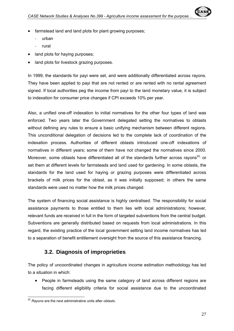

- farmstead land and land plots for plant growing purposes;
	- ‐ urban
	- ‐ rural
- land plots for having purposes:
- land plots for livestock grazing purposes.

In 1999, the standards for payi were set, and were additionally differentiated across rayons. They have been applied to payi that are not rented or are rented with no rental agreement signed. If local authorities peg the income from payi to the land monetary value, it is subject to indexation for consumer price changes if CPI exceeds 10% per year.

Also, a unified one-off indexation to initial normatives for the other four types of land was enforced. Two years later the Government delegated setting the normatives to oblasts without defining any rules to ensure a basic unifying mechanism between different regions. This unconditional delegation of decisions led to the complete lack of coordination of the indexation process. Authorities of different oblasts introduced one-off indexations of normatives in different years; some of them have not changed the normatives since 2000. Moreover, some oblasts have differentiated all of the standards further across rayons<sup>20,</sup> or set them at different levels for farmsteads and land used for gardening. In some oblasts, the standards for the land used for haying or grazing purposes were differentiated across brackets of milk prices for the oblast, as it was initially supposed; in others the same standards were used no matter how the milk prices changed.

The system of financing social assistance is highly centralised. The responsibility for social assistance payments to those entitled to them lies with local administrations; however, relevant funds are received in full in the form of targeted subventions from the central budget. Subventions are generally distributed based on requests from local administrations. In this regard, the existing practice of the local government setting land income normatives has led to a separation of benefit entitlement oversight from the source of this assistance financing.

# **3.2. Diagnosis of improprieties**

The policy of uncoordinated changes in agriculture income estimation methodology has led to a situation in which:

• People in farmsteads using the same category of land across different regions are facing different eligibility criteria for social assistance due to the uncoordinated

 $\overline{a}$ <sup>20</sup> *Rayons* are the next administrative units after *oblasts.*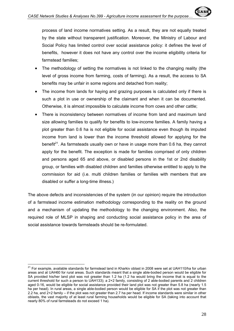process of land income normatives setting. As a result, they are not equally treated by the state without transparent justification. Moreover, the Ministry of Labour and Social Policy has limited control over social assistance policy: it defines the level of benefits, however it does not have any control over the income eligibility criteria for farmstead families;

- The methodology of setting the normatives is not linked to the changing reality (the level of gross income from farming, costs of farming). As a result, the access to SA benefits may be unfair in some regions and detached from reality;
- The income from lands for haying and grazing purposes is calculated only if there is such a plot in use or ownership of the claimant and when it can be documented. Otherwise, it is almost impossible to calculate income from cows and other cattle;
- There is inconsistency between normatives of income from land and maximum land size allowing families to qualify for benefits to low-income families. A family having a plot greater than 0.6 ha is not eligible for social assistance even though its imputed income from land is lower than the income threshold allowed for applying for the benefit<sup>21</sup>. As farmsteads usually own or have in usage more than 0.6 ha, they cannot apply for the benefit. The exception is made for families comprised of only children and persons aged 65 and above, or disabled persons in the 1st or 2nd disability group, or families with disabled children and families otherwise entitled to apply to the commission for aid (i.e. multi children families or families with members that are disabled or suffer a long-time illness.)

The above defects and inconsistencies of the system (in our opinion) require the introduction of a farmstead income estimation methodology corresponding to the reality on the ground and a mechanism of updating the methodology to the changing environment. Also, the required role of MLSP in shaping and conducting social assistance policy in the area of social assistance towards farmsteads should be re-formulated.

 $\overline{a}$ 

 $21$  For example, available standards for farmstead land in Kharkiv oblast in 2008 were set at UAH110/ha for urban areas and at UAH60 for rural areas. Such standards meant that a single able-bodied person would be eligible for SA provided his/her land plot was not greater than 1.2 ha (1.2 ha would bring the income that is equal to the current threshold for such a person to UAH133); a 2+2 family, consisting of 2 able-bodied parents and 2 children aged 0-16, would be eligible for social assistance provided their land plot was not greater than 5.8 ha (nearly 1.5 ha per head). In rural areas, a single able-bodied person would be eligible for SA if the plot was not greater than 2.2 ha, and 2+2 family – if the plot was not greater than 2.7 ha per head. If income standards were similar in other oblasts, the vast majority of at least rural farming households would be eligible for SA (taking into account that nearly 80% of rural farmsteads do not exceed 1 ha).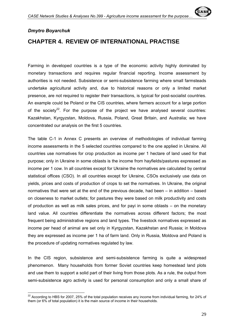

#### *Dmytro Boyarchuk*

 $\overline{a}$ 

# **CHAPTER 4. REVIEW OF INTERNATIONAL PRACTISE**

Farming in developed countries is a type of the economic activity highly dominated by monetary transactions and requires regular financial reporting. Income assessment by authorities is not needed. Subsistence or semi-subsistence farming where small farmsteads undertake agricultural activity and, due to historical reasons or only a limited market presence, are not required to register their transactions, is typical for post-socialist countries. An example could be Poland or the CIS countries, where farmers account for a large portion of the society<sup>22</sup>. For the purpose of the project we have analysed several countries: Kazakhstan, Kyrgyzstan, Moldova, Russia, Poland, Great Britain, and Australia; we have concentrated our analysis on the first 5 countries.

The table C-1 in Annex C presents an overview of methodologies of individual farming income assessments in the 5 selected countries compared to the one applied in Ukraine. All countries use normatives for crop production as income per 1 hectare of land used for that purpose; only in Ukraine in some oblasts is the income from hayfields/pastures expressed as income per 1 cow. In all countries except for Ukraine the normatives are calculated by central statistical offices (CSO). In all countries except for Ukraine, CSOs exclusively use data on yields, prices and costs of production of crops to set the normatives. In Ukraine, the original normatives that were set at the end of the previous decade, had been – in addition – based on closeness to market outlets; for pastures they were based on milk productivity and costs of production as well as milk sales prices, and for payi in some oblasts – on the monetary land value. All countries differentiate the normatives across different factors; the most frequent being administrative regions and land types. The livestock normatives expressed as income per head of animal are set only in Kyrgyzstan, Kazakhstan and Russia; in Moldova they are expressed as income per 1 ha of farm land. Only in Russia, Moldova and Poland is the procedure of updating normatives regulated by law.

In the CIS region, subsistence and semi-subsistence farming is quite a widespread phenomenon. Many households from former Soviet countries keep homestead land plots and use them to support a solid part of their living from those plots. As a rule, the output from semi-subsistence agro activity is used for personal consumption and only a small share of

 $^{22}$  According to HBS for 2007, 25% of the total population receives any income from individual farming, for 24% of them (or 6% of total population) it is the main source of income in their households.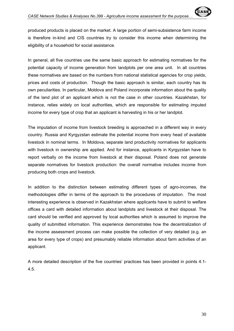produced products is placed on the market. A large portion of semi-subsistence farm income is therefore in-kind and CIS countries try to consider this income when determining the eligibility of a household for social assistance.

In general, all five countries use the same basic approach for estimating normatives for the potential capacity of income generation from landplots per one area unit. In all countries these normatives are based on the numbers from national statistical agencies for crop yields, prices and costs of production. Though the basic approach is similar, each country has its own peculiarities. In particular, Moldova and Poland incorporate information about the quality of the land plot of an applicant which is not the case in other countries. Kazakhstan, for instance, relies widely on local authorities, which are responsible for estimating imputed income for every type of crop that an applicant is harvesting in his or her landplot.

The imputation of income from livestock breeding is approached in a different way in every country. Russia and Kyrgyzstan estimate the potential income from every head of available livestock in nominal terms. In Moldova, separate land productivity normatives for applicants with livestock in ownership are applied. And for instance, applicants in Kyrgyzstan have to report verbally on the income from livestock at their disposal. Poland does not generate separate normatives for livestock production: the overall normative includes income from producing both crops and livestock.

In addition to the distinction between estimating different types of agro-incomes, the methodologies differ in terms of the approach to the procedures of imputation. The most interesting experience is observed in Kazakhstan where applicants have to submit to welfare offices a card with detailed information about landplots and livestock at their disposal. The card should be verified and approved by local authorities which is assumed to improve the quality of submitted information. This experience demonstrates how the decentralization of the income assessment process can make possible the collection of very detailed (e.g. an area for every type of crops) and presumably reliable information about farm activities of an applicant.

A more detailed description of the five countries' practices has been provided in points 4.1- 4.5.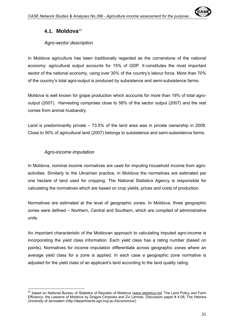

# **4.1. Moldova**<sup>23</sup>

#### *Agro-sector description*

In Moldova agriculture has been traditionally regarded as the cornerstone of the national economy: agricultural output accounts for 15% of GDP. It constitutes the most important sector of the national economy, using over 30% of the country's labour force. More than 70% of the country's total agro-output is produced by subsistence and semi-subsistence farms.

Moldova is well known for grape production which accounts for more than 19% of total agrooutput (2007). Harvesting comprises close to 58% of the sector output (2007) and the rest comes from animal husbandry.

Land is predominantly private – 73.5% of the land area was in private ownership in 2008. Close to 50% of agricultural land (2007) belongs to subsistence and semi-subsistence farms.

#### *Agro-income imputation*

In Moldova, nominal income normatives are used for imputing household income from agroactivities. Similarly to the Ukrainian practice, in Moldova the normatives are estimated per one hectare of land used for cropping. The National Statistics Agency is responsible for calculating the normatives which are based on crop yields, prices and costs of production.

Normatives are estimated at the level of geographic zones. In Moldova, three geographic zones were defined – Northern, Central and Southern, which are compiled of administrative units.

An important characteristic of the Moldovan approach to calculating imputed agro-income is incorporating the yield class information. Each yield class has a rating number (based on points). Normatives for income imputation differentiate across geographic zones where an average yield class for a zone is applied. In each case a geographic zone normative is adjusted for the yield class of an applicant's land according to the land quality rating.

 $\overline{a}$ 23 based on National Bureau of Statistics of Republic of Moldova (*www.statistica.md;* The Land Policy and Farm Efficiency: the Lessons of Moldova by Dragos Cimpoies and Zvi Lerman, Discussion paper # 4.08; The Hebrew University of Jerusalem (http://departments.agri.huji.ac.il/economics/)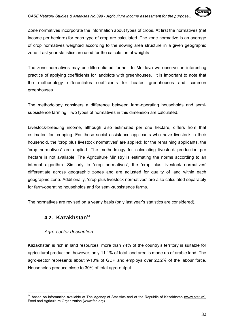The zone normatives may be differentiated further. In Moldova we observe an interesting practice of applying coefficients for landplots with greenhouses. It is important to note that the methodology differentiates coefficients for heated greenhouses and common greenhouses.

The methodology considers a difference between farm-operating households and semisubsistence farming. Two types of normatives in this dimension are calculated.

Livestock-breeding income, although also estimated per one hectare, differs from that estimated for cropping. For those social assistance applicants who have livestock in their household, the 'crop plus livestock normatives' are applied; for the remaining applicants, the 'crop normatives' are applied. The methodology for calculating livestock production per hectare is not available. The Agriculture Ministry is estimating the norms according to an internal algorithm. Similarly to 'crop normatives', the 'crop plus livestock normatives' differentiate across geographic zones and are adjusted for quality of land within each geographic zone. Additionally, 'crop plus livestock normatives' are also calculated separately for farm-operating households and for semi-subsistence farms.

The normatives are revised on a yearly basis (only last year's statistics are considered).

# **4.2. Kazakhstan**<sup>24</sup>

### *Agro-sector description*

Kazakhstan is rich in land resources; more than 74% of the country's territory is suitable for agricultural production; however, only 11.1% of total land area is made up of arable land. The agro-sector represents about 9-10% of GDP and employs over 22.2% of the labour force. Households produce close to 30% of total agro-output.

 $\overline{a}$ 24 based on information available at The Agency of Statistics and of the Republic of Kazakhstan (www.stat.kz*);*  Food and Agriculture Organization (www.fao.org)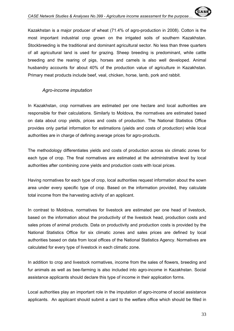Kazakhstan is a major producer of wheat (71.4% of agro-production in 2008). Cotton is the most important industrial crop grown on the irrigated soils of southern Kazakhstan. Stockbreeding is the traditional and dominant agricultural sector. No less than three quarters of all agricultural land is used for grazing. Sheep breeding is predominant, while cattle breeding and the rearing of pigs, horses and camels is also well developed. Animal husbandry accounts for about 40% of the production value of agriculture in Kazakhstan. Primary meat products include beef, veal, chicken, horse, lamb, pork and rabbit.

#### *Agro-income imputation*

In Kazakhstan, crop normatives are estimated per one hectare and local authorities are responsible for their calculations. Similarly to Moldova, the normatives are estimated based on data about crop yields, prices and costs of production. The National Statistics Office provides only partial information for estimations (yields and costs of production) while local authorities are in charge of defining average prices for agro-products.

The methodology differentiates yields and costs of production across six climatic zones for each type of crop. The final normatives are estimated at the administrative level by local authorities after combining zone yields and production costs with local prices.

Having normatives for each type of crop, local authorities request information about the sown area under every specific type of crop. Based on the information provided, they calculate total income from the harvesting activity of an applicant.

In contrast to Moldova, normatives for livestock are estimated per one head of livestock, based on the information about the productivity of the livestock head, production costs and sales prices of animal products. Data on productivity and production costs is provided by the National Statistics Office for six climatic zones and sales prices are defined by local authorities based on data from local offices of the National Statistics Agency. Normatives are calculated for every type of livestock in each climatic zone.

In addition to crop and livestock normatives, income from the sales of flowers, breeding and fur animals as well as bee-farming is also included into agro-income in Kazakhstan. Social assistance applicants should declare this type of income in their application forms.

Local authorities play an important role in the imputation of agro-income of social assistance applicants. An applicant should submit a card to the welfare office which should be filled in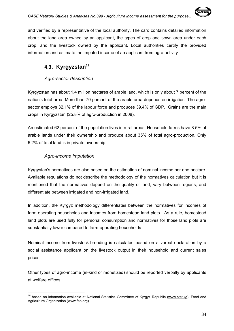# **4.3. Kyrgyzstan**<sup>25</sup>

# *Agro-sector description*

Kyrgyzstan has about 1.4 million hectares of arable land, which is only about 7 percent of the nation's total area. More than 70 percent of the arable area depends on irrigation. The agrosector employs 32.1% of the labour force and produces 39.4% of GDP. Grains are the main crops in Kyrgyzstan (25.8% of agro-production in 2008).

An estimated 62 percent of the population lives in rural areas. Household farms have 8.5% of arable lands under their ownership and produce about 35% of total agro-production. Only 6.2% of total land is in private ownership.

# *Agro-income imputation*

Kyrgystan's normatives are also based on the estimation of nominal income per one hectare. Available regulations do not describe the methodology of the normatives calculation but it is mentioned that the normatives depend on the quality of land, vary between regions, and differentiate between irrigated and non-irrigated land.

In addition, the Kyrgyz methodology differentiates between the normatives for incomes of farm-operating households and incomes from homestead land plots. As a rule, homestead land plots are used fully for personal consumption and normatives for those land plots are substantially lower compared to farm-operating households.

Nominal income from livestock-breeding is calculated based on a verbal declaration by a social assistance applicant on the livestock output in their household and current sales prices.

Other types of agro-income (in-kind or monetized) should be reported verbally by applicants at welfare offices.

 $\overline{a}$ <sup>25</sup> based on information available at National Statistics Committee of Kyrgyz Republic (www.stat.kg); Food and Agriculture Organization (www.fao.org)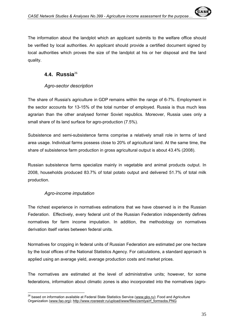be verified by local authorities. An applicant should provide a certified document signed by local authorities which proves the size of the landplot at his or her disposal and the land quality.

# **4.4. Russia**<sup>26</sup>

# *Agro-sector description*

The share of Russia's agriculture in GDP remains within the range of 6-7%. Employment in the sector accounts for 13-15% of the total number of employed. Russia is thus much less agrarian than the other analysed former Soviet republics. Moreover, Russia uses only a small share of its land surface for agro-production (7.5%).

Subsistence and semi-subsistence farms comprise a relatively small role in terms of land area usage. Individual farms possess close to 20% of agricultural land. At the same time, the share of subsistence farm production in gross agricultural output is about 43.4% (2008).

Russian subsistence farms specialize mainly in vegetable and animal products output. In 2008, households produced 83.7% of total potato output and delivered 51.7% of total milk production.

# *Agro-income imputation*

The richest experience in normatives estimations that we have observed is in the Russian Federation. Effectively, every federal unit of the Russian Federation independently defines normatives for farm income imputation. In addition, the methodology on normatives derivation itself varies between federal units.

Normatives for cropping in federal units of Russian Federation are estimated per one hectare by the local offices of the National Statistics Agency. For calculations, a standard approach is applied using an average yield, average production costs and market prices.

The normatives are estimated at the level of administrative units; however, for some federations, information about climatic zones is also incorporated into the normatives (agro-

 $\overline{a}$  $^{26}$  based on information available at Federal State Statistics Service (www.gks.ru); Food and Agriculture Organization (www.fao.org); http://www.rosreestr.ru/upload/www/files/zemlya/rf\_formsobs.PNG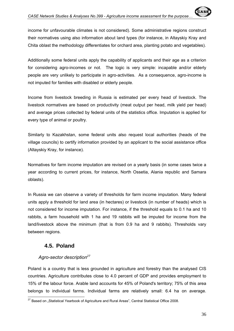income for unfavourable climates is not considered). Some administrative regions construct their normatives using also information about land types (for instance, in Altayskiy Kray and Chita oblast the methodology differentiates for orchard area, planting potato and vegetables).

Additionally some federal units apply the capability of applicants and their age as a criterion for considering agro-incomes or not. The logic is very simple: incapable and/or elderly people are very unlikely to participate in agro-activities. As a consequence, agro-income is not imputed for families with disabled or elderly people.

Income from livestock breeding in Russia is estimated per every head of livestock. The livestock normatives are based on productivity (meat output per head, milk yield per head) and average prices collected by federal units of the statistics office. Imputation is applied for every type of animal or poultry.

Similarly to Kazakhstan, some federal units also request local authorities (heads of the village councils) to certify information provided by an applicant to the social assistance office (Altayskiy Kray, for instance).

Normatives for farm income imputation are revised on a yearly basis (in some cases twice a year according to current prices, for instance, North Ossetia, Alania republic and Samara oblasts).

In Russia we can observe a variety of thresholds for farm income imputation. Many federal units apply a threshold for land area (in hectares) or livestock (in number of heads) which is not considered for income imputation. For instance, if the threshold equals to 0.1 ha and 10 rabbits, a farm household with 1 ha and 19 rabbits will be imputed for income from the land/livestock above the minimum (that is from 0.9 ha and 9 rabbits). Thresholds vary between regions.

# **4.5. Poland**

### *Agro-sector description<sup>27</sup>*

Poland is a country that is less grounded in agriculture and forestry than the analysed CIS countries. Agriculture contributes close to 4.0 percent of GDP and provides employment to 15% of the labour force. Arable land accounts for 45% of Poland's territory; 75% of this area belongs to individual farms. Individual farms are relatively small: 6.4 ha on average.

 $\overline{a}$  $^{27}$  Based on "Statistical Yearbook of Agriculture and Rural Areas", Central Statistical Office 2008.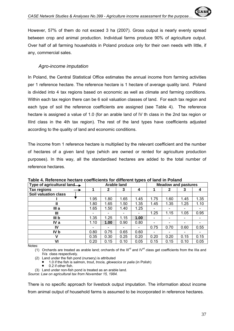However, 57% of them do not exceed 3 ha (2007). Gross output is nearly evenly spread between crop and animal production. Individual farms produce 90% of agriculture output. Over half of all farming households in Poland produce only for their own needs with little, if any, commercial sales.

#### *Agro-income imputation*

In Poland, the Central Statistical Office estimates the annual income from farming activities per 1 reference hectare. The reference hectare is 1 hectare of average quality land. Poland is divided into 4 tax regions based on economic as well as climate and farming conditions. Within each tax region there can be 6 soil valuation classes of land. For each tax region and each type of soil the reference coefficients are assigned (see Table 4). The reference hectare is assigned a value of 1.0 (for an arable land of IV th class in the 2nd tax region or IIIrd class in the 4th tax region). The rest of the land types have coefficients adjusted according to the quality of land and economic conditions.

The income from 1 reference hectare is multiplied by the relevant coefficient and the number of hectares of a given land type (which are owned or rented for agriculture production purposes). In this way, all the standardised hectares are added to the total number of reference hectares.

| Type of agricultural land $\rightarrow$ |      |                 | <b>Arable land</b> |      | <b>Meadow and pastures</b> |      |      |                          |
|-----------------------------------------|------|-----------------|--------------------|------|----------------------------|------|------|--------------------------|
| Tax regions                             |      | 2               | 3                  | 4    |                            | 2    | 3    | 4                        |
| <b>Soil valuation class</b>             |      |                 |                    |      |                            |      |      |                          |
|                                         | 1.95 | 1.80            | 1.65               | 1.45 | 1.75                       | 1.60 | 1.45 | 1.35                     |
| Ш                                       | 1.80 | 1.65            | 1.50               | 1.35 | 1.45                       | 1.35 | 1.25 | 1.10                     |
| IIIa                                    | 1.65 | 1.50            | 1.40               | 1.25 | $\overline{\phantom{a}}$   |      |      |                          |
| Ш                                       |      | -               |                    |      | 1.25                       | 1.15 | 1.05 | 0.95                     |
| III <sub>b</sub>                        | 1.35 | 1.25            | 1.15               | 1.00 | -                          |      |      |                          |
| IV a                                    | 1.10 | 1.00            | 0.90               | 0.80 | $\overline{\phantom{0}}$   |      |      |                          |
| IV                                      |      | $\qquad \qquad$ |                    |      | 0.75                       | 0.70 | 0.60 | 0.55                     |
| IV b                                    | 0.80 | 0.75            | 0.65               | 0.60 | $\overline{\phantom{a}}$   |      |      | $\overline{\phantom{0}}$ |
| v                                       | 0.35 | 0.30            | 0.25               | 0.20 | 0.20                       | 0.20 | 0.15 | 0.15                     |
| VI                                      | 0.20 | 0.15            | 0.10               | 0.05 | 0.15                       | 0.15 | 0.10 | 0.05                     |

**Table 4. Reference hectare coefficients for different types of land in Poland** 

Notes:

(1) Orchards are treated as arable land; orchards of the III<sup>rd</sup> and IV<sup>rd</sup> class get coefficients from the IIIa and IVa class respectively.

(2) Land under the fish pond (nursery) is attributed

• 1.0 if the fish is salmon, trout, *trocia, głowacica* or *palia* (in Polish)

0.2 if other fish.

(3) Land under non-fish pond is treated as an arable land.

*Source: Law on agricultural tax from November 15, 1984.* 

There is no specific approach for livestock output imputation. The information about income from animal output of household farms is assumed to be incorporated in reference hectares.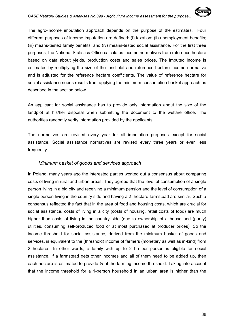The agro-income imputation approach depends on the purpose of the estimates. Four different purposes of income imputation are defined: (i) taxation; (ii) unemployment benefits; (iii) means-tested family benefits; and (iv) means-tested social assistance. For the first three purposes, the National Statistics Office calculates income normatives from reference hectare based on data about yields, production costs and sales prices. The imputed income is estimated by multiplying the size of the land plot and reference hectare income normative and is adjusted for the reference hectare coefficients. The value of reference hectare for social assistance needs results from applying the minimum consumption basket approach as described in the section below.

An applicant for social assistance has to provide only information about the size of the landplot at his/her disposal when submitting the document to the welfare office. The authorities randomly verify information provided by the applicants.

The normatives are revised every year for all imputation purposes except for social assistance. Social assistance normatives are revised every three years or even less frequently.

#### *Minimum basket of goods and services approach*

In Poland, many years ago the interested parties worked out a consensus about comparing costs of living in rural and urban areas. They agreed that the level of consumption of a single person living in a big city and receiving a minimum pension and the level of consumption of a single person living in the country side and having a 2- hectare-farmstead are similar. Such a consensus reflected the fact that in the area of food and housing costs, which are crucial for social assistance, costs of living in a city (costs of housing, retail costs of food) are much higher than costs of living in the country side (due to ownership of a house and (partly) utilities, consuming self-produced food or at most purchased at producer prices). So the income threshold for social assistance, derived from the minimum basket of goods and services, is equivalent to the (threshold) income of farmers (monetary as well as in-kind) from 2 hectares. In other words, a family with up to 2 ha per person is eligible for social assistance. If a farmstead gets other incomes and all of them need to be added up, then each hectare is estimated to provide ½ of the farming income threshold. Taking into account that the income threshold for a 1-person household in an urban area is higher than the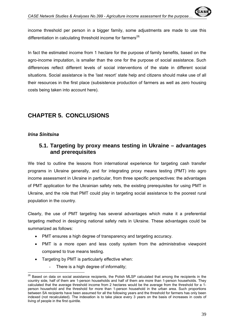In fact the estimated income from 1 hectare for the purpose of family benefits, based on the agro-income imputation, is smaller than the one for the purpose of social assistance. Such differences reflect different levels of social interventions of the state in different social situations. Social assistance is the 'last resort' state help and citizens should make use of all their resources in the first place (subsistence production of farmers as well as zero housing costs being taken into account here).

# **CHAPTER 5. CONCLUSIONS**

#### *Irina Sinitsina*

 $\overline{a}$ 

# **5.1. Targeting by proxy means testing in Ukraine – advantages and prerequisites**

We tried to outline the lessons from international experience for targeting cash transfer programs in Ukraine generally, and for integrating proxy means testing (PMT) into agro income assessment in Ukraine in particular, from three specific perspectives: the advantages of PMT application for the Ukrainian safety nets, the existing prerequisites for using PMT in Ukraine, and the role that PMT could play in targeting social assistance to the poorest rural population in the country.

Clearly, the use of PMT targeting has several advantages which make it a preferential targeting method in designing national safety nets in Ukraine. These advantages could be summarized as follows:

- PMT ensures a high degree of transparency and targeting accuracy.
- PMT is a more open and less costly system from the administrative viewpoint compared to true means testing.
- Targeting by PMT is particularly effective when:
	- There is a high degree of informality;

 $^{28}$  Based on data on social assistance recipients, the Polish MLSP calculated that among the recipients in the country side, half of them are 1-person households and half of them are more than 1-person households. They calculated that the average threshold income from 2 hectares would be the average from the threshold for a 1 person household and the threshold for more than 1-person household in the urban area. Such proportions between SA recipients have been assumed for all the following years and the threshold for farmers has only been indexed (not recalculated). The indexation is to take place every 3 years on the basis of increases in costs of living of people in the first quintile.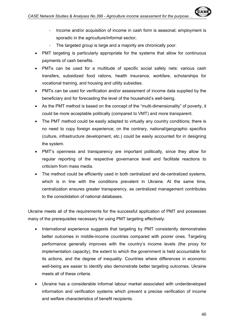- The targeted group is large and a majority are chronically poor.
- PMT targeting is particularly appropriate for the systems that allow for continuous payments of cash benefits.
- PMTs can be used for a multitude of specific social safety nets: various cash transfers, subsidized food rations, health insurance, workfare, scholarships for vocational training, and housing and utility subsidies.
- PMTs can be used for verification and/or assessment of income data supplied by the beneficiary and for forecasting the level of the household's well-being.
- As the PMT method is based on the concept of the "multi-dimensionality" of poverty, it could be more acceptable politically (compared to VMT) and more transparent.
- The PMT method could be easily adapted to virtually any country conditions; there is no need to copy foreign experience; on the contrary, national/geographic specifics (culture, infrastructure development, etc.) could be easily accounted for in designing the system.
- PMT's openness and transparency are important politically, since they allow for regular reporting of the respective governance level and facilitate reactions to criticism from mass media.
- The method could be efficiently used in both centralized and de-centralized systems, which is in line with the conditions prevalent in Ukraine. At the same time, centralization ensures greater transparency, as centralized management contributes to the consolidation of national databases.

Ukraine meets all of the requirements for the successful application of PMT and possesses many of the prerequisites necessary for using PMT targeting effectively:

- International experience suggests that targeting by PMT consistently demonstrates better outcomes in middle-income countries compared with poorer ones. Targeting performance generally improves with the country's income levels (the proxy for implementation capacity), the extent to which the government is held accountable for its actions, and the degree of inequality. Countries where differences in economic well-being are easier to identify also demonstrate better targeting outcomes. Ukraine meets all of these criteria.
- Ukraine has a considerable informal labour market associated with underdeveloped information and verification systems which prevent a precise verification of income and welfare characteristics of benefit recipients.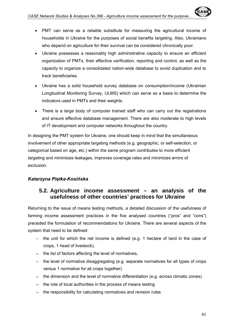- Ukraine possesses a reasonably high administrative capacity to ensure an efficient organization of PMTs, their effective verification, reporting and control, as well as the capacity to organize a consolidated nation-wide database to avoid duplication and to track beneficiaries.
- Ukraine has a solid household survey database on consumption/income (Ukrainian Longitudinal Monitoring Survey, ULMS) which can serve as a basis to determine the indicators used in PMTs and their weights.
- There is a large body of computer trained staff who can carry out the registrations and ensure effective database management. There are also moderate to high levels of IT development and computer networks throughout the country.

In designing the PMT system for Ukraine, one should keep in mind that the simultaneous involvement of other appropriate targeting methods (e.g. geographic, or self-selection, or categorical based on age, etc.) within the same program contributes to more efficient targeting and minimizes leakages, improves coverage rates and minimizes errors of exclusion.

# *Katarzyna Piętka-Kosińska*

# **5.2. Agriculture income assessment – an analysis of the usefulness of other countries' practices for Ukraine**

Returning to the issue of means testing methods, a detailed discussion of the usefulness of farming income assessment practices in the five analysed countries ("pros" and "cons") preceded the formulation of recommendations for Ukraine. There are several aspects of the system that need to be defined:

- − the unit for which the net income is defined (e.g. 1 hectare of land in the case of crops, 1 head of livestock),
- − the list of factors affecting the level of normatives,
- − the level of normative disaggregating (e.g. separate normatives for all types of crops versus 1 normative for all crops together)
- − the dimension and the level of normative differentiation (e.g. across climatic zones)
- − the role of local authorities in the process of means testing
- − the responsibility for calculating normatives and revision rules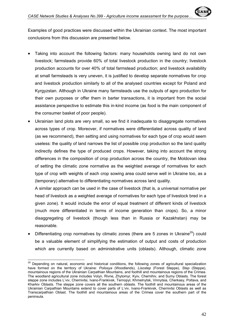conclusions from this discussion are presented below.

- Taking into account the following factors: many households owning land do not own livestock; farmsteads provide 60% of total livestock production in the country; livestock production accounts for over 40% of total farmstead production; and livestock availability at small farmsteads is very uneven, it is justified to develop separate normatives for crop and livestock production similarly to all of the analysed countries except for Poland and Kyrgyzstan. Although in Ukraine many farmsteads use the outputs of agro production for their own purposes or offer them in barter transactions, it is important from the social assistance perspective to estimate this in-kind income (as food is the main component of the consumer basket of poor people).
- Ukrainian land plots are very small, so we find it inadequate to disaggregate normatives across types of crop. Moreover, if normatives were differentiated across quality of land (as we recommend), then setting and using normatives for each type of crop would seem useless: the quality of land narrows the list of possible crop production so the land quality indirectly defines the type of produced crops. However, taking into account the strong differences in the composition of crop production across the country, the Moldovan idea of setting the climatic zone normative as the weighted average of normatives for each type of crop with weights of each crop sowing area could serve well in Ukraine too, as a (temporary) alternative to differentiating normatives across land quality.

A similar approach can be used in the case of livestock (that is, a universal normative per head of livestock as a weighted average of normatives for each type of livestock bred in a given zone). It would include the error of equal treatment of different kinds of livestock (much more differentiated in terms of income generation than crops). So, a minor disaggregating of livestock (though less than in Russia or Kazakhstan) may be reasonable.

Differentiating crop normatives by climatic zones (there are 5 zones in Ukraine<sup>29</sup>) could be a valuable element of simplifying the estimation of output and costs of production which are currently based on administrative units (oblasts). Although, climatic zone

 $\overline{a}$ 

<sup>&</sup>lt;sup>29</sup> Depending on natural, economic and historical conditions, the following zones of agricultural specialization have formed on the territory of Ukraine: *Polissya* (Woodlands), *Lisostep* (Forest Steppe), *Step* (Steppe), mountainous regions of the Ukrainian Carpathian Mountains, and foothill and mountainous regions of the Crimea. The woodland agricultural zone includes Volyn, Rivne, Zhytomyr, Kyiv, Chernihiv, and Sumy Oblasts. The forest steppe zone includes L'viv, Chernivtsi, Ivano-Frankivsk, Ternopyl, Khmelnytsk, Vinnytsia, Cherkasy, Poltava, and Kharkiv Oblasts. The steppe zone covers all the southern oblasts. The foothill and mountainous areas of the Ukrainian Carpathian Mountains extend to cover parts of L'viv, Ivano-Frankivsk, Chernivtsi Oblasts as well as Transcarpathian Oblast. The foothill and mountainous areas of the Crimea cover the southern part of the peninsula.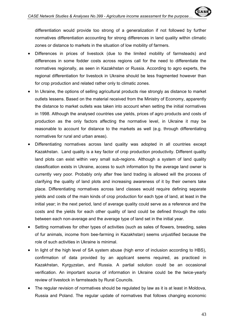differentiation would provide too strong of a generalization if not followed by further normatives differentiation accounting for strong differences in land quality within climatic zones or distance to markets in the situation of low mobility of farmers.

- Differences in prices of livestock (due to the limited mobility of farmsteads) and differences in some fodder costs across regions call for the need to differentiate the normatives regionally, as seen in Kazakhstan or Russia. According to agro experts, the regional differentiation for livestock in Ukraine should be less fragmented however than for crop production and related rather only to climatic zones.
- In Ukraine, the options of selling agricultural products rise strongly as distance to market outlets lessens. Based on the material received from the Ministry of Economy, apparently the distance to market outlets was taken into account when setting the initial normatives in 1998. Although the analysed countries use yields, prices of agro products and costs of production as the only factors affecting the normative level, in Ukraine it may be reasonable to account for distance to the markets as well (e.g. through differentiating normatives for rural and urban areas).
- Differentiating normatives across land quality was adopted in all countries except Kazakhstan. Land quality is a key factor of crop production productivity. Different quality land plots can exist within very small sub-regions. Although a system of land quality classification exists in Ukraine, access to such information by the average land owner is currently very poor. Probably only after free land trading is allowed will the process of clarifying the quality of land plots and increasing awareness of it by their owners take place. Differentiating normatives across land classes would require defining separate yields and costs of the main kinds of crop production for each type of land, at least in the initial year; in the next period, land of average quality could serve as a reference and the costs and the yields for each other quality of land could be defined through the ratio between each non-average and the average type of land set in the initial year.
- Setting normatives for other types of activities (such as sales of flowers, breeding, sales of fur animals, income from bee-farming in Kazakhstan) seems unjustified because the role of such activities in Ukraine is minimal.
- In light of the high level of SA system abuse (high error of inclusion according to HBS), confirmation of data provided by an applicant seems required, as practiced in Kazakhstan, Kyrgyzstan, and Russia. A partial solution could be an occasional verification. An important source of information in Ukraine could be the twice-yearly review of livestock in farmsteads by Rural Councils.
- The regular revision of normatives should be regulated by law as it is at least in Moldova, Russia and Poland. The regular update of normatives that follows changing economic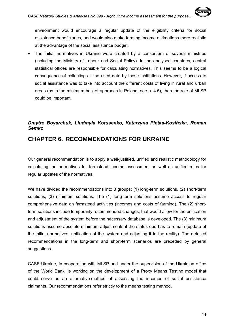The initial normatives in Ukraine were created by a consortium of several ministries (including the Ministry of Labour and Social Policy). In the analysed countries, central statistical offices are responsible for calculating normatives. This seems to be a logical consequence of collecting all the used data by those institutions. However, if access to social assistance was to take into account the different costs of living in rural and urban areas (as in the minimum basket approach in Poland, see p. 4.5), then the role of MLSP could be important.

# *Dmytro Boyarchuk, Liudmyla Kotusenko, Katarzyna Piętka-Kosińska, Roman Semko*

# **CHAPTER 6. RECOMMENDATIONS FOR UKRAINE**

Our general recommendation is to apply a well-justified, unified and realistic methodology for calculating the normatives for farmstead income assessment as well as unified rules for regular updates of the normatives.

We have divided the recommendations into 3 groups: (1) long-term solutions, (2) short-term solutions, (3) minimum solutions. The (1) long-term solutions assume access to regular comprehensive data on farmstead activities (incomes and costs of farming). The (2) shortterm solutions include temporarily recommended changes, that would allow for the unification and adjustment of the system before the necessary database is developed. The (3) minimum solutions assume absolute minimum adjustments if the status quo has to remain (update of the initial normatives, unification of the system and adjusting it to the reality). The detailed recommendations in the long-term and short-term scenarios are preceded by general suggestions.

CASE-Ukraine, in cooperation with MLSP and under the supervision of the Ukrainian office of the World Bank, is working on the development of a Proxy Means Testing model that could serve as an alternative method of assessing the incomes of social assistance claimants. Our recommendations refer strictly to the means testing method.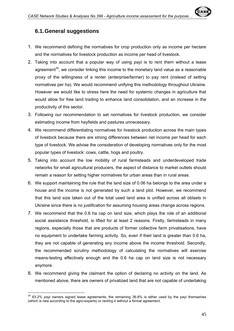

- 1. We recommend defining the normatives for crop production only as income per hectare and the normatives for livestock production as income per head of livestock.
- 2. Taking into account that a popular way of using *payi* is to rent them without a lease agreement $30$ , we consider linking this income to the monetary land value as a reasonable proxy of the willingness of a renter (enterprise/farmer) to pay rent (instead of setting normatives per ha). We would recommend unifying this methodology throughout Ukraine. However we would like to stress here the need for systemic changes in agriculture that would allow for free land trading to enhance land consolidation, and an increase in the productivity of this sector.
- 3. Following our recommendation to set normatives for livestock production, we consider estimating income from hayfields and pastures unnecessary.
- 4. We recommend differentiating normatives for livestock production across the main types of livestock because there are strong differences between net income per head for each type of livestock. We advise the consideration of developing normatives only for the most popular types of livestock: cows, cattle, hogs and poultry.
- 5. Taking into account the low mobility of rural farmsteads and underdeveloped trade networks for small agricultural producers, the aspect of distance to market outlets should remain a reason for setting higher normatives for urban areas than in rural areas.
- 6. We support maintaining the rule that the land size of 0.06 ha belongs to the area under a house and the income is not generated by such a land plot. However, we recommend that this land size taken out of the total used land area is unified across all oblasts in Ukraine since there is no justification for assuming housing areas change across regions.
- 7. We recommend that the 0.6 ha cap on land size, which plays the role of an additional social assistance threshold, is lifted for at least 2 reasons. Firstly, farmsteads in many regions, especially those that are products of former collective farm privatisations, have no equipment to undertake farming activity. So, even if their land is greater than 0.6 ha, they are not capable of generating any income above the income threshold. Secondly, the recommended scrutiny methodology of calculating the normatives will exercise means-testing effectively enough and the 0.6 ha cap on land size is not necessary anymore.
- 8. We recommend giving the claimant the option of declaring no activity on the land. As mentioned above, there are owners of privatized land that are not capable of undertaking

 $\overline{a}$ 

<sup>30 63.2%</sup> *payi* owners signed lease agreements; the remaining 36.8% is either used by the payi themselves (which is rare according to the agro-experts) or renting it without a formal agreement.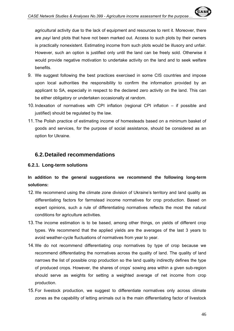agricultural activity due to the lack of equipment and resources to rent it. Moreover, there are *payi* land plots that have not been marked out. Access to such plots by their owners is practically nonexistent. Estimating income from such plots would be illusory and unfair. However, such an option is justified only until the land can be freely sold. Otherwise it would provide negative motivation to undertake activity on the land and to seek welfare benefits.

- 9. We suggest following the best practices exercised in some CIS countries and impose upon local authorities the responsibility to confirm the information provided by an applicant to SA, especially in respect to the declared zero activity on the land. This can be either obligatory or undertaken occasionally at random.
- 10. Indexation of normatives with CPI inflation (regional CPI inflation if possible and justified) should be regulated by the law.
- 11. The Polish practice of estimating income of homesteads based on a minimum basket of goods and services, for the purpose of social assistance, should be considered as an option for Ukraine.

# **6.2. Detailed recommendations**

#### **6.2.1. Long-term solutions**

# **In addition to the general suggestions we recommend the following long-term solutions:**

- 12. We recommend using the climate zone division of Ukraine's territory and land quality as differentiating factors for farmstead income normatives for crop production. Based on expert opinions, such a rule of differentiating normatives reflects the most the natural conditions for agriculture activities.
- 13. The income estimation is to be based, among other things, on yields of different crop types. We recommend that the applied yields are the averages of the last 3 years to avoid weather-cycle fluctuations of normatives from year to year.
- 14. We do not recommend differentiating crop normatives by type of crop because we recommend differentiating the normatives across the quality of land. The quality of land narrows the list of possible crop production so the land quality indirectly defines the type of produced crops. However, the shares of crops' sowing area within a given sub-region should serve as weights for setting a weighted average of net income from crop production.
- 15. For livestock production, we suggest to differentiate normatives only across climate zones as the capability of letting animals out is the main differentiating factor of livestock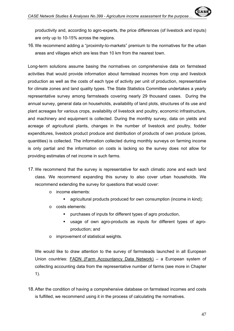16. We recommend adding a "proximity-to-markets" premium to the normatives for the urban areas and villages which are less than 10 km from the nearest town.

Long-term solutions assume basing the normatives on comprehensive data on farmstead activities that would provide information about farmstead incomes from crop and livestock production as well as the costs of each type of activity per unit of production, representative for climate zones and land quality types. The State Statistics Committee undertakes a yearly representative survey among farmsteads covering nearly 29 thousand cases. During the annual survey, general data on households, availability of land plots, structures of its use and plant acreages for various crops, availability of livestock and poultry, economic infrastructure, and machinery and equipment is collected. During the monthly survey, data on yields and acreage of agricultural plants, changes in the number of livestock and poultry, fodder expenditures, livestock product produce and distribution of products of own produce (prices, quantities) is collected. The information collected during monthly surveys on farming income is only partial and the information on costs is lacking so the survey does not allow for providing estimates of net income in such farms.

- 17. We recommend that the survey is representative for each climatic zone and each land class. We recommend expanding this survey to also cover urban households. We recommend extending the survey for questions that would cover:
	- o income elements:
		- agricultural products produced for own consumption (income in kind);
	- o costs elements:
		- purchases of inputs for different types of agro production,
		- usage of own agro-products as inputs for different types of agroproduction; and
	- o improvement of statistical weights.

We would like to draw attention to the survey of farmsteads launched in all European Union countries: FADN (Farm Accountancy Data Network) – a European system of collecting accounting data from the representative number of farms (see more in Chapter 1).

18. After the condition of having a comprehensive database on farmstead incomes and costs is fulfilled, we recommend using it in the process of calculating the normatives.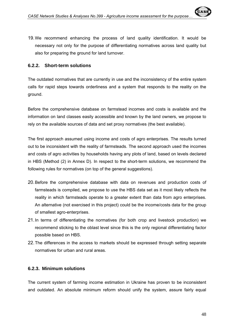#### **6.2.2. Short-term solutions**

The outdated normatives that are currently in use and the inconsistency of the entire system calls for rapid steps towards orderliness and a system that responds to the reality on the ground.

Before the comprehensive database on farmstead incomes and costs is available and the information on land classes easily accessible and known by the land owners, we propose to rely on the available sources of data and set proxy normatives (the best available).

The first approach assumed using income and costs of agro enterprises. The results turned out to be inconsistent with the reality of farmsteads. The second approach used the incomes and costs of agro activities by households having any plots of land, based on levels declared in HBS (Method (2) in Annex D). In respect to the short-term solutions, we recommend the following rules for normatives (on top of the general suggestions).

- 20. Before the comprehensive database with data on revenues and production costs of farmsteads is compiled, we propose to use the HBS data set as it most likely reflects the reality in which farmsteads operate to a greater extent than data from agro enterprises. An alternative (not exercised in this project) could be the income/costs data for the group of smallest agro-enterprises.
- 21. In terms of differentiating the normatives (for both crop and livestock production) we recommend sticking to the oblast level since this is the only regional differentiating factor possible based on HBS.
- 22. The differences in the access to markets should be expressed through setting separate normatives for urban and rural areas.

#### **6.2.3. Minimum solutions**

The current system of farming income estimation in Ukraine has proven to be inconsistent and outdated. An absolute minimum reform should unify the system, assure fairly equal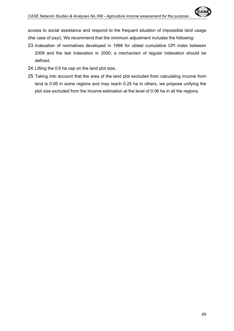access to social assistance and respond to the frequent situation of impossible land usage (the case of payi). We recommend that the minimum adjustment includes the following:

- 23. Indexation of normatives developed in 1998 for oblast cumulative CPI index between 2009 and the last indexation in 2000; a mechanism of regular indexation should be defined.
- 24. Lifting the 0.6 ha cap on the land plot size,
- 25. Taking into account that the area of the land plot excluded from calculating income from land is 0.06 in some regions and may reach 0.25 ha in others, we propose unifying the plot size excluded from the income estimation at the level of 0.06 ha in all the regions.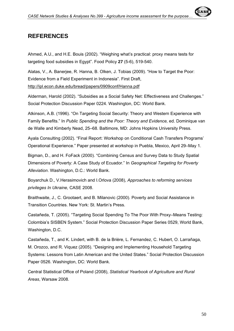

Ahmed, A.U., and H.E. Bouis (2002). "Weighing what's practical: proxy means tests for targeting food subsidies in Egypt". Food Policy **27** (5-6), 519-540.

Alatas, V., A. Banerjee, R. Hanna, B. Olken, J. Tobias (2009). "How to Target the Poor: Evidence from a Field Experiment in Indonesia". First Draft, http://ipl.econ.duke.edu/bread/papers/0909conf/Hanna.pdf

Alderman, Harold (2002). "Subsidies as a Social Safety Net: Effectiveness and Challenges." Social Protection Discussion Paper 0224. Washington, DC: World Bank.

Atkinson, A.B. (1996). "On Targeting Social Security: Theory and Western Experience with Family Benefits." In *Public Spending and the Poor: Theory and Evidence,* ed. Dominique van de Walle and Kimberly Nead, 25–68. Baltimore, MD: Johns Hopkins University Press.

Ayala Consulting (2002). "Final Report: Workshop on Conditional Cash Transfers Programs' Operational Experience." Paper presented at workshop in Puebla, Mexico, April 29–May 1.

Bigman, D., and H. FoFack (2000). "Combining Census and Survey Data to Study Spatial Dimensions of Poverty: A Case Study of Ecuador." In *Geographical Targeting for Poverty Alleviation*. Washington, D.C.: World Bank.

Boyarchuk D., V.Herasimovich and I.Orlova (2008), *Approaches to reforming services privileges In Ukraine,* CASE 2008.

Braithwaite, J., C. Grootaert, and B. Milanovic (2000). Poverty and Social Assistance in Transition Countries. New York: St. Martin's Press.

Castañeda, T. (2005). "Targeting Social Spending To The Poor With Proxy–Means Testing: Colombia's SISBEN System." Social Protection Discussion Paper Series 0529, World Bank, Washington, D.C.

Castañeda, T., and K. Lindert, with B. de la Brière, L. Fernandez, C. Hubert, O. Larrañaga, M. Orozco, and R. Viquez (2005). "Designing and Implementing Household Targeting Systems: Lessons from Latin American and the United States." Social Protection Discussion Paper 0526. Washington, DC: World Bank.

Central Statistical Office of Poland (2008), *Statistical Yearbook of Agriculture and Rural Areas*, Warsaw 2008.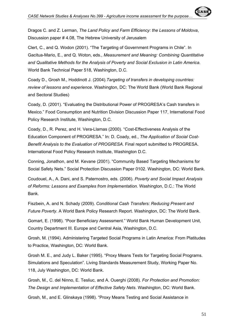Dragos C. and Z. Lerman, *The Land Policy and Farm Efficiency: the Lessons of Moldova*, Discussion paper # 4.08, The Hebrew University of Jerusalem

Clert, C., and Q. Wodon (2001). "The Targeting of Government Programs in Chile". In Gacitua-Mario, E., and Q. Woton, eds., *Measurement and Meaning: Combining Quantitative and Qualitative Methods for the Analysis of Poverty and Social Exclusion in Latin America*. World Bank Technical Paper 518, Washington, D.C.

Coady D., Grosh M., Hoddinott J. (2004).*Targeting of transfers in developing countries: review of lessons and experience*. Washington, DC: The World Bank (World Bank Regional and Sectoral Studies)

Coady, D. (2001). "Evaluating the Distributional Power of PROGRESA's Cash transfers in Mexico." Food Consumption and Nutrition Division Discussion Paper 117, International Food Policy Research Institute, Washington, D.C.

Coady, D., R. Perez, and H. Vera-Llamas (2000). "Cost-Effectiveness Analysis of the Education Component of PROGRESA." In: D. Coady, ed., *The Application of Social Cost-Benefit Analysis to the Evaluation of PROGRESA*. Final report submitted to PROGRESA. International Food Policy Research Institute, Washington D.C.

Conning, Jonathon, and M. Kevane (2001). "Community Based Targeting Mechanisms for Social Safety Nets." Social Protection Discussion Paper 0102. Washington, DC: World Bank.

Coudouel, A., A. Dani, and S. Paternostro, eds. (2006). *Poverty and Social Impact Analysis of Reforms: Lessons and Examples from Implementation*. Washington, D.C.: The World Bank.

Fiszbein, A. and N. Schady (2009). *Conditional Cash Transfers: Reducing Present and Future Poverty*. A World Bank Policy Research Report. Washington, DC: The World Bank.

Gomart, E. (1998). "Poor Beneficiary Assessment." World Bank Human Development Unit, Country Department III. Europe and Central Asia, Washington, D.C.

Grosh, M. (1994). Administering Targeted Social Programs in Latin America: From Platitudes to Practice, Washington, DC: World Bank.

Grosh M. E., and Judy L. Baker (1995). "Proxy Means Tests for Targeting Social Programs. Simulations and Speculation". Living Standards Measurement Study, Working Paper No. 118, July Washington, DC: World Bank.

Grosh, M., C. del Ninno, E. Tesliuc, and A. Ouerghi (2008). *For Protection and Promotion: The Design and Implementation of Effective Safety Nets*. Washington, DC: World Bank.

Grosh, M., and E. Glinskaya (1998). "Proxy Means Testing and Social Assistance in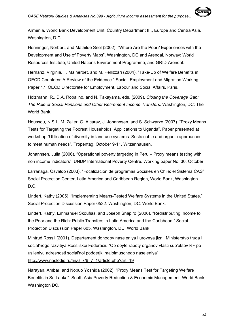Armenia. World Bank Development Unit, Country Department III., Europe and CentralAsia. Washington, D.C.

Henninger, Norbert, and Mathilde Snel (2002). "Where Are the Poor? Experiences with the Development and Use of Poverty Maps". Washington, DC and Arendal, Norway: World Resources Institute, United Nations Environment Programme, and GRID-Arendal.

Hernanz, Virginia, F. Malherbet, and M. Pellizzari (2004). "Take-Up of Welfare Benefits in OECD Countries: A Review of the Evidence." Social, Employment and Migration Working Paper 17, OECD Directorate for Employment, Labour and Social Affairs, Paris.

Holzmann, R., D.A. Robalino, and N. Takayama, eds. (2009). *Closing the Coverage Gap: The Role of Social Pensions and Other Retirement Income Transfers*. Washington, DC: The World Bank.

Houssou, N.S.I., M. Zeller, G. Alcaraz, J. Johannsen, and S. Schwarze (2007). "Proxy Means Tests for Targeting the Poorest Households: Applications to Uganda". Paper presented at workshop "Utilisation of diversity in land use systems: Sustainable and organic approaches to meet human needs", Tropentag, October 9-11, Witzenhausen.

Johannsen, Julia (2006). "Operational poverty targeting in Peru – Proxy means testing with non income indicators". UNDP International Poverty Centre. Working paper No. 30, October.

Larrañaga, Osvaldo (2003). "Focalización de programas Sociales en Chile: el Sistema CAS" Social Protection Center, Latin America and Caribbean Region, World Bank, Washington D.C.

Lindert, Kathy (2005). "Implementing Means-Tested Welfare Systems in the United States." Social Protection Discussion Paper 0532. Washington, DC: World Bank.

Lindert, Kathy, Emmanuel Skoufias, and Joseph Shapiro (2006). "Redistributing Income to the Poor and the Rich: Public Transfers in Latin America and the Caribbean." Social Protection Discussion Paper 605. Washington, DC: World Bank.

Mintrud Rossii (2001). Departament dohodov naseleniya i urovnya jizni, Ministerstvo truda I social'nogo razvitiya Rossiiskoi Federacii. "Ob opyte raboty organov vlasti sub'ektov RF po usileniyu adresnosti social'noi podderjki maloimuschego naseleniya",

http://www.nasledie.ru/fin/6\_7/6\_7\_1/article.php?art=19

Narayan, Ambar, and Nobuo Yoshida (2002). "Proxy Means Test for Targeting Welfare Benefits in Sri Lanka". South Asia Poverty Reduction & Economic Management; World Bank, Washington DC.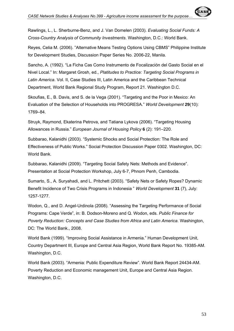Rawlings, L., L. Sherburne-Benz, and J. Van Domelen (2003). *Evaluating Social Funds: A Cross-Country Analysis of Community Investments*. Washington, D.C.: World Bank.

Reyes, Celia M. (2006). "Alternative Means Testing Options Using CBMS" Philippine Institute for Development Studies, Discussion Paper Series No. 2006-22, Manila.

Sancho, A. (1992). "La Ficha Cas Como Instrumento de Focalización del Gasto Social en el Nivel Local." In: Margaret Grosh, ed., *Platitudes to Practice: Targeting Social Programs in Latin America*. Vol. II, Case Studies III, Latin America and the Caribbean Technical Department, World Bank Regional Study Program, Report 21. Washington D.C.

Skoufias, E., B. Davis, and S. de la Vega (2001). "Targeting and the Poor in Mexico: An Evaluation of the Selection of Households into PROGRESA." *World Development* **29**(10): 1769–84.

Struyk, Raymond, Ekaterina Petrova, and Tatiana Lykova (2006). "Targeting Housing Allowances in Russia." *European Journal of Housing Policy* **6** (2): 191–220.

Subbarao, Kalanidhi (2003). "Systemic Shocks and Social Protection: The Role and Effectiveness of Public Works." Social Protection Discussion Paper 0302. Washington, DC: World Bank.

Subbarao, Kalanidhi (2009). "Targeting Social Safety Nets: Methods and Evidence". Presentation at Social Protection Workshop, July 6-7, Phnom Penh, Cambodia.

Sumarto, S., A. Suryahadi, and L. Pritchett (2003). "Safety Nets or Safety Ropes? Dynamic Benefit Incidence of Two Crisis Programs in Indonesia " *World Development* **31** (7), July: 1257-1277.

Wodon, Q., and D. Angel-Urdinola (2008). "Assessing the Targeting Performance of Social Programs: Cape Verde", in: B. Dodson-Moreno and Q. Wodon, eds. *Public Finance for Poverty Reduction: Concepts and Case Studies from Africa and Latin America*. Washington, DC: The World Bank., 2008.

World Bank (1999). "Improving Social Assistance in Armenia." Human Development Unit, Country Department III, Europe and Central Asia Region, World Bank Report No. 19385-AM. Washington, D.C.

World Bank (2003). "Armenia: Public Expenditure Review". World Bank Report 24434-AM. Poverty Reduction and Economic management Unit, Europe and Central Asia Region. Washington, D.C.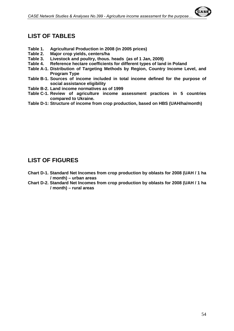# **LIST OF TABLES**

- **Table 1. Agricultural Production in 2008 (in 2005 prices)**
- **Table 2. Major crop yields, centers/ha**
- **Table 3. Livestock and poultry, thous. heads (as of 1 Jan, 2009)**
- **Table 4. Reference hectare coefficients for different types of land in Poland**
- **Table A-1. Distribution of Targeting Methods by Region, Country Income Level, and Program Type**
- **Table B-1. Sources of income included in total income defined for the purpose of social assistance eligibility**
- **Table B-2. Land income normatives as of 1999**
- **Table C-1. Review of agriculture income assessment practices in 5 countries compared to Ukraine.**
- **Table D-1: Structure of income from crop production, based on HBS (UAH/ha/month)**

# **LIST OF FIGURES**

- **Chart D-1. Standard Net Incomes from crop production by oblasts for 2008 (UAH / 1 ha / month) – urban areas**
- **Chart D-2. Standard Net Incomes from crop production by oblasts for 2008 (UAH / 1 ha / month) – rural areas**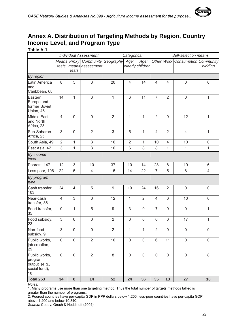

# **Annex A. Distribution of Targeting Methods by Region, Country Income Level, and Program Type**

**Table A-1.** 

|                                                                  | <b>Individual Assessment</b> |                | Categorical                                           |                  |                |                          | Self-selection means |                     |                                  |              |
|------------------------------------------------------------------|------------------------------|----------------|-------------------------------------------------------|------------------|----------------|--------------------------|----------------------|---------------------|----------------------------------|--------------|
|                                                                  | tests                        | tests          | Means Proxy   Community Geography<br>means assessment |                  | Age:           | Age:<br>elderly children |                      |                     | Other Work Consumption Community | bidding      |
| By region                                                        |                              |                |                                                       |                  |                |                          |                      |                     |                                  |              |
| Latin America<br>and<br>Caribbean, 68                            | 8                            | 5              | 3                                                     | 20               | $\overline{4}$ | 14                       | 4                    | $\overline{4}$      | $\mathbf 0$                      | 6            |
| Eastern<br>Europe and<br>former Soviet<br>Union, 46              | 14                           | 1              | $\mathfrak{S}$                                        | 1                | 6              | 11                       | $\overline{7}$       | $\overline{2}$      | $\mathbf 0$                      | $\mathbf{1}$ |
| <b>Middle East</b><br>and North<br>Africa, 23                    | $\overline{4}$               | $\mathbf 0$    | $\mathsf{O}\xspace$                                   | $\overline{2}$   | $\mathbf{1}$   | $\mathbf{1}$             | $\overline{2}$       | $\mathbf 0$         | 12                               | $\mathbf{1}$ |
| Sub-Saharan<br>Africa, 25                                        | 3                            | $\mathbf 0$    | $\overline{2}$                                        | 3                | 5              | $\mathbf{1}$             | 4                    | $\overline{2}$      | $\overline{4}$                   | 1            |
| South Asia, 49                                                   | $\overline{2}$               | 1              | $\mathsf 3$                                           | 16               | $\overline{2}$ | $\mathbf{1}$             | 10                   | $\overline{4}$      | 10                               | $\pmb{0}$    |
| East Asia, 42                                                    | 3                            | 1              | 3                                                     | 10               | 6              | 8                        | 8                    | 1                   | 1                                | $\mathbf{1}$ |
| By income<br>level                                               |                              |                |                                                       |                  |                |                          |                      |                     |                                  |              |
| Poorest, 147                                                     | 12                           | 3              | 10                                                    | 37               | 10             | 14                       | 28                   | 8                   | 19                               | 6            |
| Less poor, 106                                                   | 22                           | 5              | $\overline{4}$                                        | 15               | 14             | 22                       | $\overline{7}$       | 5                   | 8                                | 4            |
| By program<br>type                                               |                              |                |                                                       |                  |                |                          |                      |                     |                                  |              |
| Cash transfer,<br>103                                            | 24                           | $\overline{4}$ | 5                                                     | $\boldsymbol{9}$ | 19             | 24                       | 16                   | $\overline{2}$      | $\mathbf 0$                      | $\mathsf 0$  |
| Near-cash<br>transfer, 36                                        | $\overline{4}$               | 3              | $\mathsf{O}\xspace$                                   | 12               | 1              | $\overline{2}$           | 4                    | $\mathbf 0$         | 10                               | $\mathbf 0$  |
| Food transfer,<br>35                                             | $\mathbf 0$                  | $\mathbf{1}$   | 5                                                     | $9\,$            | 3              | $\hbox{9}$               | $\overline{7}$       | $\mathbf 0$         | $\mathbf 0$                      | 1            |
| Food subsidy,<br>23                                              | 3                            | $\mathbf 0$    | $\mathsf{O}\xspace$                                   | $\overline{2}$   | $\mathbf 0$    | $\mathbf 0$              | $\mathbf 0$          | $\mathsf{O}\xspace$ | 17                               | 1            |
| Non-food<br>subsidy, 9                                           | 3                            | $\mathbf 0$    | 0                                                     | 2                | 1              | 1                        | 2                    | 0                   | $\pmb{0}$                        | $\mathbf 0$  |
| Public works,<br>job creation,<br>29                             | $\mathbf 0$                  | $\mathbf 0$    | $\overline{2}$                                        | 10               | $\mathbf 0$    | $\mathbf 0$              | 6                    | 11                  | $\mathsf{O}\xspace$              | $\mathbf 0$  |
| Public works,<br>program<br>output (e.g.,<br>social fund),<br>18 | $\overline{0}$               | $\mathbf 0$    | $\overline{2}$                                        | 8                | $\mathbf 0$    | $\mathbf 0$              | $\mathbf 0$          | $\mathbf 0$         | $\mathbf 0$                      | 8            |
| <b>Total 253</b>                                                 | 34                           | ${\bf 8}$      | 14                                                    | 52               | 24             | 36                       | 35                   | 13                  | 27                               | 10           |

*Notes:* 

1. Many programs use more than one targeting method. Thus the total number of targets methods tallied is greater than the number of programs.

2. Poorest countries have per-capita GDP in PPP dollars below 1,200; less-poor countries have per-capita GDP above 1,200 and below 10,840.

*Source*: Coady, Grosh & Hoddinott (2004)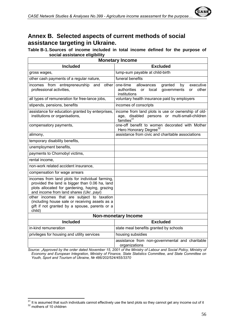# **Annex B. Selected aspects of current methods of social assistance targeting in Ukraine.**

**Table B-1. Sources of income included in total income defined for the purpose of social assistance eligibility** 

|                                                                                                                                                                                                | <b>Monetary Income</b>                                                                                                                  |  |  |  |  |
|------------------------------------------------------------------------------------------------------------------------------------------------------------------------------------------------|-----------------------------------------------------------------------------------------------------------------------------------------|--|--|--|--|
| <b>Included</b>                                                                                                                                                                                | <b>Excluded</b>                                                                                                                         |  |  |  |  |
| gross wages,                                                                                                                                                                                   | lump-sum payable at child-birth                                                                                                         |  |  |  |  |
| other cash payments of a regular nature,                                                                                                                                                       | funeral benefits                                                                                                                        |  |  |  |  |
| incomes from entrepreneurship<br>and<br>other<br>professional activities.                                                                                                                      | one-time<br>allowances<br>granted<br>executive<br>by<br>authorities<br>governments<br>other<br>local<br><b>or</b><br>or<br>institutions |  |  |  |  |
| all types of remuneration for free-lance jobs,                                                                                                                                                 | voluntary health insurance paid by employers                                                                                            |  |  |  |  |
| stipends, pensions, benefits                                                                                                                                                                   | incomes of conscripts                                                                                                                   |  |  |  |  |
| assistance for education granted by enterprises,<br>institutions or organisations,                                                                                                             | income from land plots is use or ownership of old-<br>age, disabled persons or multi-small-children<br>families $31$                    |  |  |  |  |
| compensatory payments,                                                                                                                                                                         | one-off benefit to women decorated with Mother<br>Hero Honorary Degree <sup>32</sup>                                                    |  |  |  |  |
| alimony,                                                                                                                                                                                       | assistance from civic and charitable associations                                                                                       |  |  |  |  |
| temporary disability benefits,                                                                                                                                                                 |                                                                                                                                         |  |  |  |  |
| unemployment benefits,                                                                                                                                                                         |                                                                                                                                         |  |  |  |  |
| payments to Chornobyl victims,                                                                                                                                                                 |                                                                                                                                         |  |  |  |  |
| rental income,                                                                                                                                                                                 |                                                                                                                                         |  |  |  |  |
| non-work related accident insurance,                                                                                                                                                           |                                                                                                                                         |  |  |  |  |
| compensation for wage arrears                                                                                                                                                                  |                                                                                                                                         |  |  |  |  |
| incomes from land plots for individual farming,<br>provided the land is bigger than 0.06 ha, land<br>plots allocated for gardening, haying, grazing<br>and income from land shares (Ukr. payi) |                                                                                                                                         |  |  |  |  |
| other incomes that are subject to taxation<br>(including house sale or receiving assets as a<br>gift if not granted by a spouse, parents or a<br>child)                                        |                                                                                                                                         |  |  |  |  |
|                                                                                                                                                                                                | <b>Non-monetary Income</b>                                                                                                              |  |  |  |  |
| <b>Included</b>                                                                                                                                                                                | <b>Excluded</b>                                                                                                                         |  |  |  |  |
| in-kind remuneration                                                                                                                                                                           | state meal benefits granted by schools                                                                                                  |  |  |  |  |
| privileges for housing and utility services                                                                                                                                                    | housing subsidies                                                                                                                       |  |  |  |  |
|                                                                                                                                                                                                | assistance from non-governmental and charitable<br>organizations                                                                        |  |  |  |  |

Source: "Approved by the order dated November 15, 2001 of the Ministry of Labour and Social Policy, Ministry of *Economy and European Integration, Ministry of Finance, State Statistics Committee, and State Committee on Youth, Sport and Tourism of Ukraine, № 486/202/524/455/3370* 

 $\overline{a}$ 

 $^{31}$  It is assumed that such individuals cannot effectively use the land plots so they cannot get any income out of it<br> $^{32}$  mothers of 10 children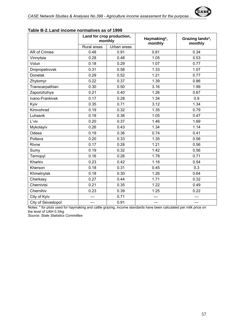

|                    | Land for crop production,<br>monthly |             | Haymaking*,<br>monthly | Grazing lands*,<br>monthly |  |
|--------------------|--------------------------------------|-------------|------------------------|----------------------------|--|
|                    | Rural areas                          | Urban areas |                        |                            |  |
| AR of Crimea       | 0.48                                 | 0.91        | 0.61                   | 0.34                       |  |
| Vinnytsia          | 0.28                                 | 0.48        | 1.05                   | 0.53                       |  |
| Volun              | 0.18                                 | 0.29        | 1.07                   | 0.77                       |  |
| Dnipropetrovsk     | 0.31                                 | 0.58        | 1.33                   | 1.07                       |  |
| Donetsk            | 0.29                                 | 0.52        | 1.21                   | 0.77                       |  |
| Zhytomyr           | 0.22                                 | 0.37        | 1.39                   | 0.86                       |  |
| Transcarpathian    | 0.30                                 | 0.50        | 3.16                   | 1.99                       |  |
| Zaporizhzhya       | 0.21                                 | 0.40        | 1.26                   | 0.67                       |  |
| Ivano-Frankivsk    | 0.17                                 | 0.28        | 1.34                   | 0.9                        |  |
| Kyiv               | 0.35                                 | 0.71        | 3.12                   | 1.34                       |  |
| Kirovohrad         | 0.19                                 | 0.32        | 1.35                   | 0.79                       |  |
| Luhasnk            | 0.19                                 | 0.36        | 1.05                   | 0.47                       |  |
| L'viv              | 0.20                                 | 0.37        | 1.46                   | 1.69                       |  |
| Mykolayiv          | 0.26                                 | 0.43        | 1.34                   | 1.14                       |  |
| Odesa              | 0.19                                 | 0.36        | 0.74                   | 0.41                       |  |
| Poltava            | 0.20                                 | 0.33        | 1.35                   | 0.56                       |  |
| Rivne              | 0.17                                 | 0.28        | 1.21                   | 0.56                       |  |
| Sumy               | 0.19                                 | 0.32        | 1.42                   | 0.56                       |  |
| Ternopyl           | 0.16                                 | 0.26        | 1.78                   | 0.71                       |  |
| Kharkiv            | 0.23                                 | 0.42        | 1.16                   | 0.54                       |  |
| Kherson            | 0.18                                 | 0.31        | 0.45                   | 0.3                        |  |
| Khmelnytsk         | 0.18                                 | 0.30        | 1.26                   | 0.64                       |  |
| Cherkasy           | 0.27                                 | 0.44        | 1.71                   | 0.32                       |  |
| Chernivtsi         | 0.21                                 | 0.35        | 1.22                   | 0.49                       |  |
| Chernihiv          | 0.23                                 | 0.39        | 1.25                   | 0.22                       |  |
| City of Kyiv       |                                      | 0.71        |                        |                            |  |
| City of Sevastopol |                                      | 0.91        |                        |                            |  |

**Table B-2. Land income normatives as of 1999** 

Notes: \* for plots used for haymaking and cattle grazing, income standards have been calculated per milk price on the level of UAH 0.3/kg

*Source: State Statistics Committee*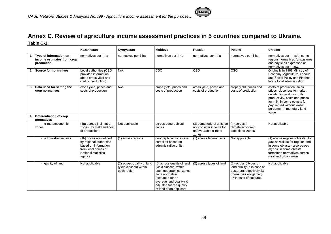# **Annex C. Review of agriculture income assessment practices in 5 countries compared to Ukraine. Table C-1.**

|    |                                                                    | Kazakhstan                                                                                                                                  | Kyrgyzstan                                                          | Moldova                                                                                                                                                                                                 | <b>Russia</b>                                                                         | Poland                                                                                                                               | <b>Ukraine</b>                                                                                                                                                                                                                 |
|----|--------------------------------------------------------------------|---------------------------------------------------------------------------------------------------------------------------------------------|---------------------------------------------------------------------|---------------------------------------------------------------------------------------------------------------------------------------------------------------------------------------------------------|---------------------------------------------------------------------------------------|--------------------------------------------------------------------------------------------------------------------------------------|--------------------------------------------------------------------------------------------------------------------------------------------------------------------------------------------------------------------------------|
|    | Type of information on<br>income estimates from crop<br>production | normatives per 1 ha                                                                                                                         | normatives per 1 ha                                                 | normatives per 1 ha                                                                                                                                                                                     | normatives per 1 ha                                                                   | normatives per 1 ha                                                                                                                  | normatives per 1 ha; in some<br>regions normatives for pastures<br>and hayfields expressed as<br>normatives per 1 cow.                                                                                                         |
| 2. | <b>Source for normatives</b>                                       | Local authorities (CSO<br>provides information<br>about crops yield and<br>cost of production)                                              | N/A                                                                 | CSO                                                                                                                                                                                                     | CSO                                                                                   | <b>CSO</b>                                                                                                                           | Originally in 1998 Ministry of<br>Economy, Agriculture, Labour<br>and Social Policy and Finance;<br>later - local administration                                                                                               |
| 3. | Data used for setting the<br>crop normatives                       | crops yield, prices and<br>costs of production                                                                                              | N/A                                                                 | crops yield, prices and<br>costs of production                                                                                                                                                          | crops yield, prices and<br>costs of production                                        | crops yield, prices and<br>costs of production                                                                                       | costs of production, sales<br>prices, closeness to market<br>outlets; for pastures: milk<br>productivity, costs and prices<br>for milk: in some oblasts for<br>payi rented without lease<br>agreement - monetary land<br>value |
|    | Differentiation of crop<br>normatives                              |                                                                                                                                             |                                                                     |                                                                                                                                                                                                         |                                                                                       |                                                                                                                                      |                                                                                                                                                                                                                                |
|    | climate/economic<br>zones                                          | (1a) across 6 climatic<br>zones (for yield and cost<br>of production)                                                                       | Not applicable                                                      | across geographical<br>zones                                                                                                                                                                            | (3) some federal units do<br>not consider income for<br>unfavourable climate<br>zones | $(1)$ across 4<br>climate/economic<br>conditions' zones                                                                              | Not applicable                                                                                                                                                                                                                 |
|    | administrative units                                               | (1b) prices are defined<br>by regional authorities<br>based on information<br>from local offices of<br><b>National statistics</b><br>agency | (1) across regions                                                  | geographical zones are<br>compiled based on<br>administrative units                                                                                                                                     | (1) across federal units                                                              | Not applicable                                                                                                                       | (1) across regions (oblasts); for<br>payi as well as for regular land<br>in some oblasts - also across<br>rayons; in some oblasts<br>farmstead normatives across<br>rural and urban areas                                      |
|    | - quality of land                                                  | Not applicable                                                                                                                              | (2) across quality of land<br>(yield classes) within<br>each region | (3) across quality of land<br>(yield classes) within<br>each geographical zone:<br>zone normative<br>(assumed for an<br>average land quality) is<br>adjusted for the quality<br>of land of an applicant | (2) across types of land                                                              | (2) across 8 types of<br>land quality (6 in case of<br>pastures); effectively 23<br>normatives altogether;<br>17 in case of pastures | Not applicable                                                                                                                                                                                                                 |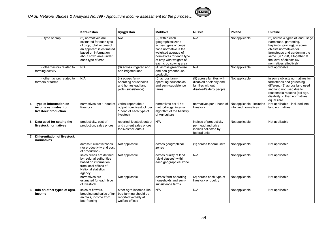|    |                                                                         | Kazakhstan                                                                                                                                                                   | Kyrgyzstan                                                                                  | Moldova                                                                                                                                                                                                       | <b>Russia</b>                                                                                      | Poland                                            | <b>Ukraine</b>                                                                                                                                                                                                                              |
|----|-------------------------------------------------------------------------|------------------------------------------------------------------------------------------------------------------------------------------------------------------------------|---------------------------------------------------------------------------------------------|---------------------------------------------------------------------------------------------------------------------------------------------------------------------------------------------------------------|----------------------------------------------------------------------------------------------------|---------------------------------------------------|---------------------------------------------------------------------------------------------------------------------------------------------------------------------------------------------------------------------------------------------|
|    | - type of crop                                                          | (2) normatives are<br>estimated for each type<br>of crop; total income of<br>an applicant is estimated<br>based on information<br>about sown area under<br>each type of crop | N/A                                                                                         | $\overline{(2)}$ within each<br>qeographical zone -<br>across types of crops:<br>zone normative is the<br>weighted average of<br>normatives for each type<br>of crop with weights of<br>each crop sowing area | N/A                                                                                                | Not applicable                                    | (2) across 4 types of land usage<br>(farmstead, gardening,<br>hayfields, grazing); in some<br>oblasts normatives for<br>farmsteads and gardening the<br>same. [in 1998, altogether at<br>the level of oblasts 66<br>normatives effectively] |
|    | - other factors related to<br>farming activity                          | N/A                                                                                                                                                                          | (3) across irrigated and<br>non-irrigated land                                              | (4) across greenhouse<br>and non-greenhouse<br>production                                                                                                                                                     | N/A                                                                                                | Not applicable                                    | Not applicable                                                                                                                                                                                                                              |
|    | - other factors related to<br>farmers or farms                          | N/A                                                                                                                                                                          | (4) across farm-<br>operating households<br>and homestead land<br>plots (subsistence)       | (5) across farm-<br>operating households<br>and semi-subsistence<br>farms                                                                                                                                     | (5) across families with<br>disabled or elderly and<br>families without<br>disabled/elderly people | Not applicable                                    | in some oblasts normatives for<br>farmsteads and gardening<br>different; (3) across land used<br>and land not used due to<br>reasonable reasons (old age,<br>disability) - then normatives<br>equal zero                                    |
| 5. | Type of information on<br>income estimates from<br>livestock production | normatives per 1 head of<br>livestock                                                                                                                                        | verbal report about<br>output from livestock per<br>1 head of each type of<br>livestock     | normatives per 1 ha;<br>methodology: internal<br>algorithm of the Ministry<br>of Agriculture                                                                                                                  | normatives per 1 head of<br>livestock                                                              | Not applicable - included<br>into land normatives | Not applicable - included into<br>land normatives                                                                                                                                                                                           |
|    | 6. Data used for setting the<br>livestock normatives                    | productivity, cost of<br>production, sales prices                                                                                                                            | reported livestock output N/A<br>and current sales prices<br>for livestock output           |                                                                                                                                                                                                               | indices of productivity<br>per head and price<br>indices collected by<br>federal units             | Not applicable                                    | Not applicable                                                                                                                                                                                                                              |
| 7. | Differentiation of livestock<br>normatives                              |                                                                                                                                                                              |                                                                                             |                                                                                                                                                                                                               |                                                                                                    |                                                   |                                                                                                                                                                                                                                             |
|    |                                                                         | across 6 climatic zones<br>(for productivity and cost<br>of production)                                                                                                      | Not applicable                                                                              | across geographical<br>zones                                                                                                                                                                                  | (1) across federal units                                                                           | Not applicable                                    | Not applicable                                                                                                                                                                                                                              |
|    |                                                                         | sales prices are defined<br>by regional authorities<br>based on information<br>from local offices of<br><b>National statistics</b><br>agency                                 | Not applicable                                                                              | across quality of land<br>(yield classes) within<br>each geographical zone                                                                                                                                    | N/A                                                                                                | Not applicable                                    | Not applicable                                                                                                                                                                                                                              |
|    |                                                                         | normatives are<br>estimated for each type<br>of livestock                                                                                                                    | Not applicable                                                                              | across farm-operating<br>households and semi-<br>subsistence farms                                                                                                                                            | (2) across each type of<br>livestock or poultry                                                    | Not applicable                                    | Not applicable                                                                                                                                                                                                                              |
| 8. | Info on other types of agro-<br>income                                  | sales of flowers.<br>breeding and sales of fur<br>animals, income from<br>bee-framing                                                                                        | other agro-incomes like<br>bee-farming should be<br>reported verbally at<br>welfare offices | N/A                                                                                                                                                                                                           | N/A                                                                                                | Not applicable                                    | Not applicable                                                                                                                                                                                                                              |

**CAS**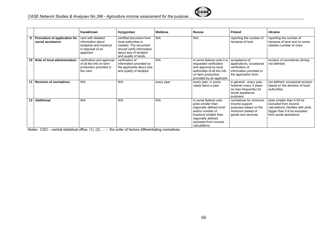

|      |                                                   | Kazakhstan                                                                                           | Kyrgyzstan                                                                                                                                              | <b>Moldova</b> | Russia                                                                                                                                                                              | Poland                                                                                                           | <b>Ukraine</b>                                                                                                                                    |
|------|---------------------------------------------------|------------------------------------------------------------------------------------------------------|---------------------------------------------------------------------------------------------------------------------------------------------------------|----------------|-------------------------------------------------------------------------------------------------------------------------------------------------------------------------------------|------------------------------------------------------------------------------------------------------------------|---------------------------------------------------------------------------------------------------------------------------------------------------|
| 9. I | Procedure of application for<br>social assistance | card with detailed<br>information about<br>landplots and livestock<br>in disposal of an<br>applicant | certified document from<br>local authorities is<br>needed. The document<br>should verify information<br>about size of landplot<br>and quality of lands. | N/A            | N/A                                                                                                                                                                                 | reporting the number of<br>hectares of land                                                                      | reporting the number of<br>hectares of land and (in some<br>oblasts) number of cows                                                               |
| 10   | Role of local administration                      | verification and approval<br>of all the info on farm<br>production provided in<br>the card           | verification of<br>information provided by<br>the applicants about size<br>and quality of landplot                                                      | N/A            | in some federal units it is<br>requested verification<br>and approval by local<br>authorities of all the info<br>on farm production<br>provided by an applicant                     | acceptance of<br>applications, occasional<br>verification of<br>information provided in<br>the application form. | revision of normatives (timing<br>not defined)                                                                                                    |
|      | <b>Revision of normatives</b>                     | N/A                                                                                                  | N/A                                                                                                                                                     | every year     | every year, in some<br>cases twice a year                                                                                                                                           | in general - every year,<br>however every 3 years<br>(or less frequently) for<br>social assistance<br>purposes   | not defined; occasional revision<br>based on the decision of local<br>authorities                                                                 |
| 12   | <b>Additional</b>                                 | N/A                                                                                                  | N/A                                                                                                                                                     | N/A            | in some federal units<br>plots smaller than<br>regionally defined level<br>and/or number of<br>livestock smaller than<br>regionally defined<br>excluded from income<br>calculations | normatives for minimum<br>income support<br>purposes based on the<br>minimum basket of<br>goods and services     | plots smaller than 0.06 ha<br>excluded from income<br>calculations; families with plots<br>bigger than 0.6 ha excluded<br>from social assistance. |

Notes: CSO – central statistical office; (1), (2), ... – the order of factors differentiating normatives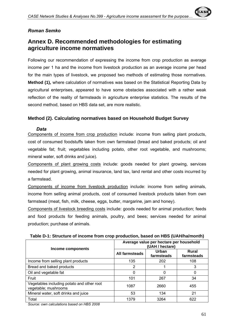#### *Roman Semko*

# **Annex D. Recommended methodologies for estimating agriculture income normatives**

Following our recommendation of expressing the income from crop production as average income per 1 ha and the income from livestock production as an average income per head for the main types of livestock, we proposed two methods of estimating those normatives. **Method (1),** where calculation of normatives was based on the Statistical Reporting Data by agricultural enterprises, appeared to have some obstacles associated with a rather weak reflection of the reality of farmsteads in agriculture enterprise statistics. The results of the second method, based on HBS data set, are more realistic.

#### **Method (2). Calculating normatives based on Household Budget Survey**

#### *Data*

Components of income from crop production include: income from selling plant products, cost of consumed foodstuffs taken from own farmstead (bread and baked products; oil and vegetable fat; fruit; vegetables including potato, other root vegetable, and mushrooms; mineral water, soft drinks and juice).

Components of plant growing costs include: goods needed for plant growing, services needed for plant growing, animal insurance, land tax, land rental and other costs incurred by a farmstead.

Components of income from livestock production include: income from selling animals, income from selling animal products, cost of consumed livestock products taken from own farmstead (meat, fish, milk, cheese, eggs, butter, margarine, jam and honey).

Components of livestock breeding costs include: goods needed for animal production; feeds and food products for feeding animals, poultry, and bees; services needed for animal production; purchase of animals.

|                                                                    | Average value per hectare per household<br>(UAH / hectare) |                     |                     |  |  |
|--------------------------------------------------------------------|------------------------------------------------------------|---------------------|---------------------|--|--|
| <b>Income components</b>                                           | All farmsteads                                             | Urban<br>farmsteads | Rural<br>farmsteads |  |  |
| Income from selling plant products                                 | 135                                                        | 202                 | 108                 |  |  |
| Bread and baked products                                           | 2                                                          |                     | 3                   |  |  |
| Oil and vegetable fat                                              | 0                                                          | 0                   |                     |  |  |
| Fruit                                                              | 101                                                        | 267                 | 34                  |  |  |
| Vegetables including potato and other root<br>vegetable; mushrooms | 1087                                                       | 2660                | 455                 |  |  |
| Mineral water, soft drinks and juice                               | 53                                                         | 134                 | 21                  |  |  |
| Total                                                              | 1379                                                       | 3264                | 622                 |  |  |

**Table D-1: Structure of income from crop production, based on HBS (UAH/ha/month)** 

*Source: own calculations based on HBS 2008*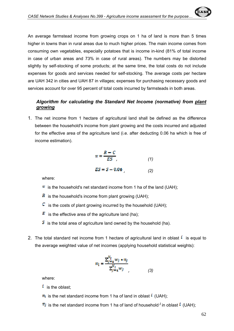An average farmstead income from growing crops on 1 ha of land is more than 5 times higher in towns than in rural areas due to much higher prices. The main income comes from consuming own vegetables, especially potatoes that is income in-kind (81% of total income in case of urban areas and 73% in case of rural areas). The numbers may be distorted slightly by self-stocking of some products; at the same time, the total costs do not include expenses for goods and services needed for self-stocking. The average costs per hectare are UAH 342 in cities and UAH 87 in villages; expenses for purchasing necessary goods and services account for over 95 percent of total costs incurred by farmsteads in both areas.

#### *Algorithm for calculating the Standard Net Income (normative) from plant growing*

1. The net income from 1 hectare of agricultural land shall be defined as the difference between the household's income from plant growing and the costs incurred and adjusted for the effective area of the agriculture land (i.e. after deducting 0.06 ha which is free of income estimation).

$$
\pi = \frac{R - C}{ES},\tag{1}
$$

 $\overline{ES} = S - 0.06$  (2)

where:

- $\pi$  is the household's net standard income from 1 ha of the land (UAH);
- $\overline{R}$  is the household's income from plant growing (UAH);
- $\mathcal{C}$  is the costs of plant growing incurred by the household (UAH);
- $\mathbf{E}$  is the effective area of the agriculture land (ha);
- $\mathcal{S}$  is the total area of agriculture land owned by the household (ha).
- 2. The total standard net income from 1 hectare of agricultural land in oblast  $\ell$  is equal to the average weighted value of net incomes (applying household statistical weights):

$$
\pi_{l} = \frac{\sum_{j=1}^{N_{l}} w_{j} * \pi_{j}}{\sum_{j=1}^{N_{l}} w_{j}} \tag{3}
$$

where:

- $i$  is the oblast:
- $\pi_l$  is the net standard income from 1 ha of land in oblast  $^i$  (UAH);
- $\pi_j$  is the net standard income from 1 ha of land of household <sup>*j*</sup> in oblast  $\ell$  (UAH);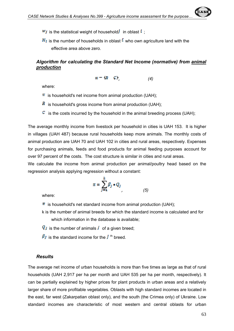

 $\overline{N_i}$  is the number of households in oblast  $\overline{k}$  who own agriculture land with the effective area above zero.

#### *Algorithm for calculating the Standard Net Income (normative) from animal production*

$$
\pi = (R - C)
$$
\n<sup>(4)</sup>

where:

- $\pi$  is household's net income from animal production (UAH);
- $\overline{R}$  is household's gross income from animal production (UAH);
- $\mathbb{C}$  is the costs incurred by the household in the animal breeding process (UAH);

The average monthly income from livestock per household in cities is UAH 153. It is higher in villages (UAH 487) because rural households keep more animals. The monthly costs of animal production are UAH 70 and UAH 102 in cities and rural areas, respectively. Expenses for purchasing animals, feeds and food products for animal feeding purposes account for over 97 percent of the costs. The cost structure is similar in cities and rural areas.

We calculate the income from animal production per animal/poultry head based on the regression analysis applying regression without a constant:

$$
\pi = \sum_{j=1}^{k} \beta_j \cdot Q_j \tag{5}
$$

where:

- $\pi$  is household's net standard income from animal production (UAH);
- k is the number of animal breeds for which the standard income is calculated and for which information in the database is available;
- $Q_i$  is the number of animals i of a given breed;
- $\beta$  is the standard income for the  $i$ <sup>th</sup> breed.

#### *Results*

The average net income of urban households is more than five times as large as that of rural households (UAH 2,917 per ha per month and UAH 535 per ha per month, respectively). It can be partially explained by higher prices for plant products in urban areas and a relatively larger share of more profitable vegetables. Oblasts with high standard incomes are located in the east, far west (Zakarpatian oblast only), and the south (the Crimea only) of Ukraine. Low standard incomes are characteristic of most western and central oblasts for urban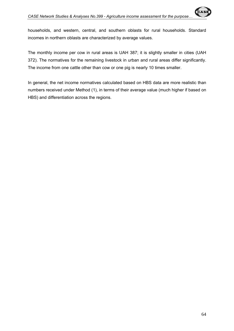households, and western, central, and southern oblasts for rural households. Standard incomes in northern oblasts are characterized by average values.

The monthly income per cow in rural areas is UAH 387; it is slightly smaller in cities (UAH 372). The normatives for the remaining livestock in urban and rural areas differ significantly. The income from one cattle other than cow or one pig is nearly 10 times smaller.

In general, the net income normatives calculated based on HBS data are more realistic than numbers received under Method (1), in terms of their average value (much higher if based on HBS) and differentiation across the regions.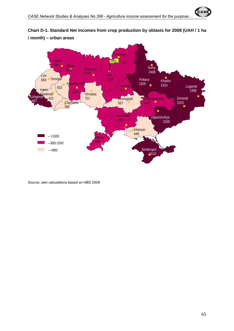



**Chart D-1. Standard Net Incomes from crop production by oblasts for 2008 (UAH / 1 ha / month) – urban areas**

*Source: own calculations based on HBS 2008.*